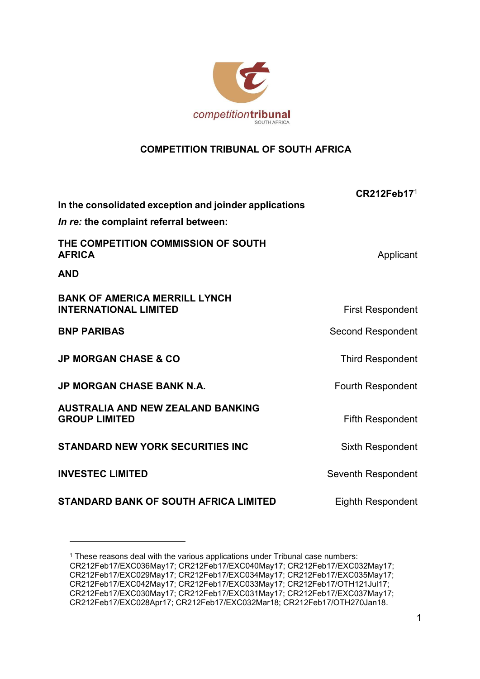

## COMPETITION TRIBUNAL OF SOUTH AFRICA

| In the consolidated exception and joinder applications               | CR212Feb17 <sup>1</sup>  |
|----------------------------------------------------------------------|--------------------------|
| In re: the complaint referral between:                               |                          |
| THE COMPETITION COMMISSION OF SOUTH<br><b>AFRICA</b>                 | Applicant                |
| <b>AND</b>                                                           |                          |
| <b>BANK OF AMERICA MERRILL LYNCH</b><br><b>INTERNATIONAL LIMITED</b> | <b>First Respondent</b>  |
| <b>BNP PARIBAS</b>                                                   | <b>Second Respondent</b> |
| <b>JP MORGAN CHASE &amp; CO</b>                                      | <b>Third Respondent</b>  |
| <b>JP MORGAN CHASE BANK N.A.</b>                                     | <b>Fourth Respondent</b> |
| <b>AUSTRALIA AND NEW ZEALAND BANKING</b><br><b>GROUP LIMITED</b>     | <b>Fifth Respondent</b>  |
| <b>STANDARD NEW YORK SECURITIES INC</b>                              | <b>Sixth Respondent</b>  |
| <b>INVESTEC LIMITED</b>                                              | Seventh Respondent       |
| <b>STANDARD BANK OF SOUTH AFRICA LIMITED</b>                         | Eighth Respondent        |

<sup>&</sup>lt;sup>1</sup> These reasons deal with the various applications under Tribunal case numbers: CR212Feb17/EXC036May17; CR212Feb17/EXC040May17; CR212Feb17/EXC032May17; CR212Feb17/EXC029May17; CR212Feb17/EXC034May17; CR212Feb17/EXC035May17; CR212Feb17/EXC042May17; CR212Feb17/EXC033May17; CR212Feb17/OTH121Jul17; CR212Feb17/EXC030May17; CR212Feb17/EXC031May17; CR212Feb17/EXC037May17; CR212Feb17/EXC028Apr17; CR212Feb17/EXC032Mar18; CR212Feb17/OTH270Jan18.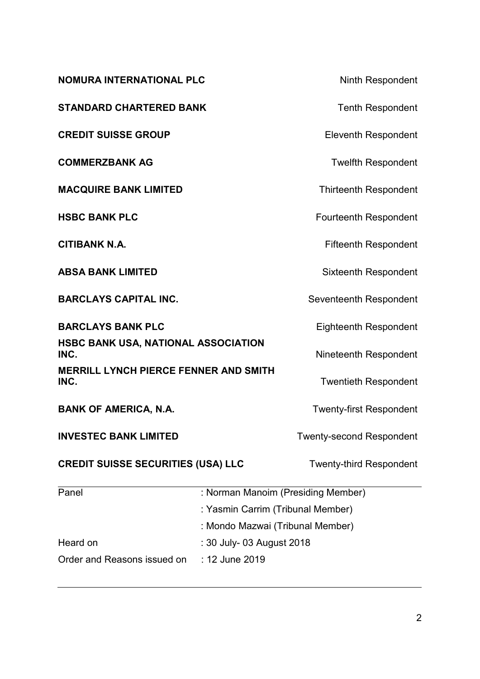| <b>NOMURA INTERNATIONAL PLC</b>                      |                                                                       | <b>Ninth Respondent</b>         |
|------------------------------------------------------|-----------------------------------------------------------------------|---------------------------------|
| <b>STANDARD CHARTERED BANK</b>                       |                                                                       | <b>Tenth Respondent</b>         |
| <b>CREDIT SUISSE GROUP</b>                           |                                                                       | <b>Eleventh Respondent</b>      |
| <b>COMMERZBANK AG</b>                                |                                                                       | <b>Twelfth Respondent</b>       |
| <b>MACQUIRE BANK LIMITED</b>                         |                                                                       | <b>Thirteenth Respondent</b>    |
| <b>HSBC BANK PLC</b>                                 |                                                                       | <b>Fourteenth Respondent</b>    |
| <b>CITIBANK N.A.</b>                                 |                                                                       | <b>Fifteenth Respondent</b>     |
| <b>ABSA BANK LIMITED</b>                             |                                                                       | <b>Sixteenth Respondent</b>     |
| <b>BARCLAYS CAPITAL INC.</b>                         |                                                                       | Seventeenth Respondent          |
| <b>BARCLAYS BANK PLC</b>                             |                                                                       | <b>Eighteenth Respondent</b>    |
| HSBC BANK USA, NATIONAL ASSOCIATION<br>INC.          |                                                                       | Nineteenth Respondent           |
| <b>MERRILL LYNCH PIERCE FENNER AND SMITH</b><br>INC. |                                                                       | <b>Twentieth Respondent</b>     |
| <b>BANK OF AMERICA, N.A.</b>                         |                                                                       | <b>Twenty-first Respondent</b>  |
| <b>INVESTEC BANK LIMITED</b>                         |                                                                       | <b>Twenty-second Respondent</b> |
| <b>CREDIT SUISSE SECURITIES (USA) LLC</b>            |                                                                       | <b>Twenty-third Respondent</b>  |
| Panel<br>: Norman Manoim (Presiding Member)          |                                                                       |                                 |
|                                                      | : Yasmin Carrim (Tribunal Member)<br>: Mondo Mazwai (Tribunal Member) |                                 |
|                                                      |                                                                       |                                 |
| Heard on                                             | : 30 July- 03 August 2018                                             |                                 |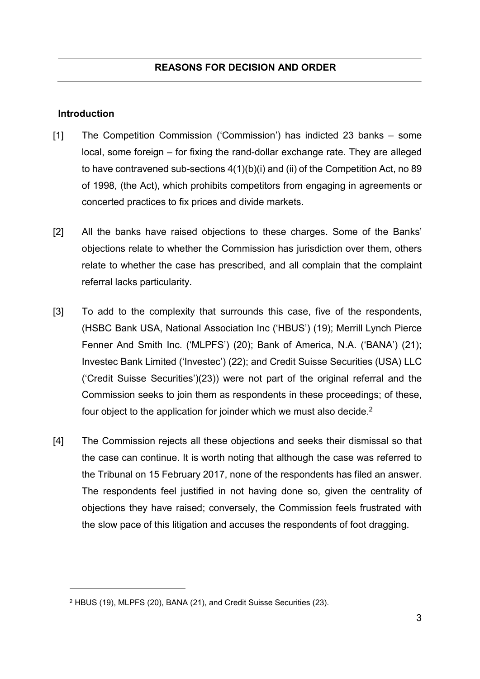#### Introduction

- [1] The Competition Commission ('Commission') has indicted 23 banks some local, some foreign – for fixing the rand-dollar exchange rate. They are alleged to have contravened sub-sections 4(1)(b)(i) and (ii) of the Competition Act, no 89 of 1998, (the Act), which prohibits competitors from engaging in agreements or concerted practices to fix prices and divide markets.
- [2] All the banks have raised objections to these charges. Some of the Banks' objections relate to whether the Commission has jurisdiction over them, others relate to whether the case has prescribed, and all complain that the complaint referral lacks particularity.
- [3] To add to the complexity that surrounds this case, five of the respondents, (HSBC Bank USA, National Association Inc ('HBUS') (19); Merrill Lynch Pierce Fenner And Smith Inc. ('MLPFS') (20); Bank of America, N.A. ('BANA') (21); Investec Bank Limited ('Investec') (22); and Credit Suisse Securities (USA) LLC ('Credit Suisse Securities')(23)) were not part of the original referral and the Commission seeks to join them as respondents in these proceedings; of these, four object to the application for joinder which we must also decide.<sup>2</sup>
- [4] The Commission rejects all these objections and seeks their dismissal so that the case can continue. It is worth noting that although the case was referred to the Tribunal on 15 February 2017, none of the respondents has filed an answer. The respondents feel justified in not having done so, given the centrality of objections they have raised; conversely, the Commission feels frustrated with the slow pace of this litigation and accuses the respondents of foot dragging.

<sup>2</sup> HBUS (19), MLPFS (20), BANA (21), and Credit Suisse Securities (23).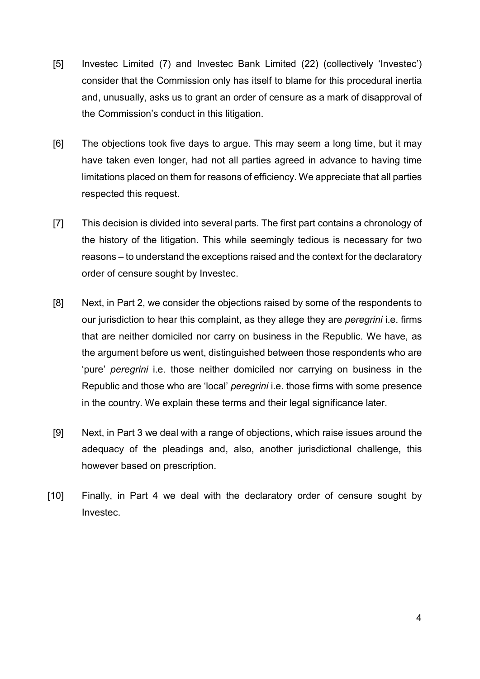- [5] Investec Limited (7) and Investec Bank Limited (22) (collectively 'Investec') consider that the Commission only has itself to blame for this procedural inertia and, unusually, asks us to grant an order of censure as a mark of disapproval of the Commission's conduct in this litigation.
- [6] The objections took five days to argue. This may seem a long time, but it may have taken even longer, had not all parties agreed in advance to having time limitations placed on them for reasons of efficiency. We appreciate that all parties respected this request.
- [7] This decision is divided into several parts. The first part contains a chronology of the history of the litigation. This while seemingly tedious is necessary for two reasons – to understand the exceptions raised and the context for the declaratory order of censure sought by Investec.
- [8] Next, in Part 2, we consider the objections raised by some of the respondents to our jurisdiction to hear this complaint, as they allege they are peregrini i.e. firms that are neither domiciled nor carry on business in the Republic. We have, as the argument before us went, distinguished between those respondents who are 'pure' peregrini i.e. those neither domiciled nor carrying on business in the Republic and those who are 'local' *peregrini* i.e. those firms with some presence in the country. We explain these terms and their legal significance later.
- [9] Next, in Part 3 we deal with a range of objections, which raise issues around the adequacy of the pleadings and, also, another jurisdictional challenge, this however based on prescription.
- [10] Finally, in Part 4 we deal with the declaratory order of censure sought by Investec.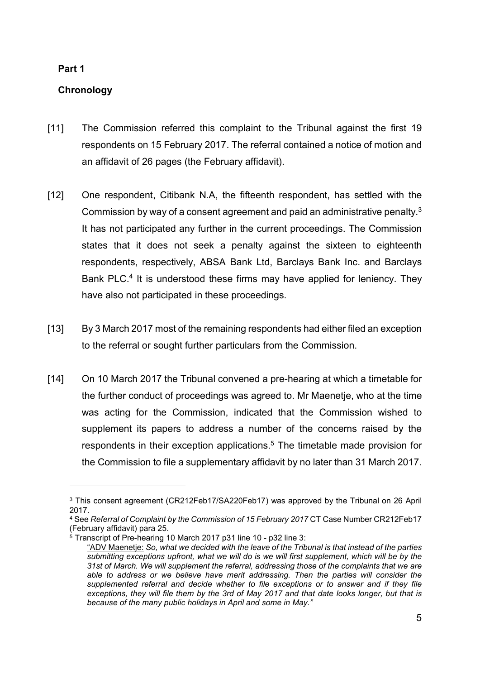## Part 1

 $\overline{a}$ 

## **Chronology**

- [11] The Commission referred this complaint to the Tribunal against the first 19 respondents on 15 February 2017. The referral contained a notice of motion and an affidavit of 26 pages (the February affidavit).
- [12] One respondent, Citibank N.A, the fifteenth respondent, has settled with the Commission by way of a consent agreement and paid an administrative penalty. $3$ It has not participated any further in the current proceedings. The Commission states that it does not seek a penalty against the sixteen to eighteenth respondents, respectively, ABSA Bank Ltd, Barclays Bank Inc. and Barclays Bank PLC.<sup>4</sup> It is understood these firms may have applied for leniency. They have also not participated in these proceedings.
- [13] By 3 March 2017 most of the remaining respondents had either filed an exception to the referral or sought further particulars from the Commission.
- [14] On 10 March 2017 the Tribunal convened a pre-hearing at which a timetable for the further conduct of proceedings was agreed to. Mr Maenetje, who at the time was acting for the Commission, indicated that the Commission wished to supplement its papers to address a number of the concerns raised by the respondents in their exception applications.<sup>5</sup> The timetable made provision for the Commission to file a supplementary affidavit by no later than 31 March 2017.

<sup>&</sup>lt;sup>3</sup> This consent agreement (CR212Feb17/SA220Feb17) was approved by the Tribunal on 26 April 2017.

<sup>4</sup> See Referral of Complaint by the Commission of 15 February 2017 CT Case Number CR212Feb17 (February affidavit) para 25.

<sup>5</sup> Transcript of Pre-hearing 10 March 2017 p31 line 10 - p32 line 3:

<sup>&</sup>quot;ADV Maenetje: So, what we decided with the leave of the Tribunal is that instead of the parties submitting exceptions upfront, what we will do is we will first supplement, which will be by the 31st of March. We will supplement the referral, addressing those of the complaints that we are able to address or we believe have merit addressing. Then the parties will consider the supplemented referral and decide whether to file exceptions or to answer and if they file exceptions, they will file them by the 3rd of May 2017 and that date looks longer, but that is because of the many public holidays in April and some in May."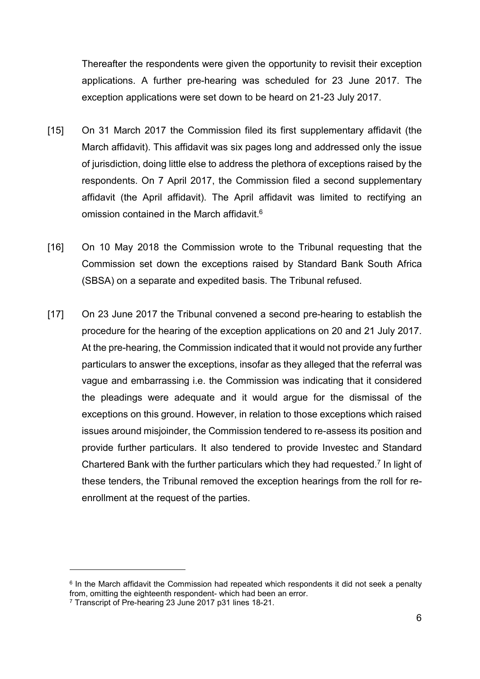Thereafter the respondents were given the opportunity to revisit their exception applications. A further pre-hearing was scheduled for 23 June 2017. The exception applications were set down to be heard on 21-23 July 2017.

- [15] On 31 March 2017 the Commission filed its first supplementary affidavit (the March affidavit). This affidavit was six pages long and addressed only the issue of jurisdiction, doing little else to address the plethora of exceptions raised by the respondents. On 7 April 2017, the Commission filed a second supplementary affidavit (the April affidavit). The April affidavit was limited to rectifying an omission contained in the March affidavit.<sup>6</sup>
- [16] On 10 May 2018 the Commission wrote to the Tribunal requesting that the Commission set down the exceptions raised by Standard Bank South Africa (SBSA) on a separate and expedited basis. The Tribunal refused.
- [17] On 23 June 2017 the Tribunal convened a second pre-hearing to establish the procedure for the hearing of the exception applications on 20 and 21 July 2017. At the pre-hearing, the Commission indicated that it would not provide any further particulars to answer the exceptions, insofar as they alleged that the referral was vague and embarrassing i.e. the Commission was indicating that it considered the pleadings were adequate and it would argue for the dismissal of the exceptions on this ground. However, in relation to those exceptions which raised issues around misjoinder, the Commission tendered to re-assess its position and provide further particulars. It also tendered to provide Investec and Standard Chartered Bank with the further particulars which they had requested.<sup>7</sup> In light of these tenders, the Tribunal removed the exception hearings from the roll for reenrollment at the request of the parties.

<sup>&</sup>lt;sup>6</sup> In the March affidavit the Commission had repeated which respondents it did not seek a penalty from, omitting the eighteenth respondent- which had been an error.

<sup>7</sup> Transcript of Pre-hearing 23 June 2017 p31 lines 18-21.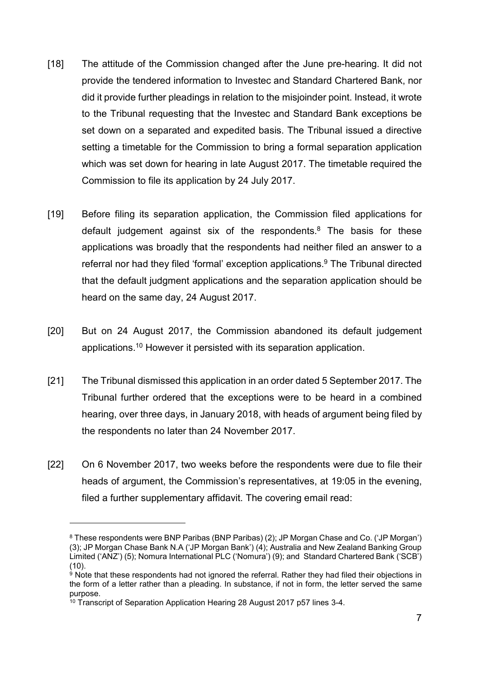- [18] The attitude of the Commission changed after the June pre-hearing. It did not provide the tendered information to Investec and Standard Chartered Bank, nor did it provide further pleadings in relation to the misjoinder point. Instead, it wrote to the Tribunal requesting that the Investec and Standard Bank exceptions be set down on a separated and expedited basis. The Tribunal issued a directive setting a timetable for the Commission to bring a formal separation application which was set down for hearing in late August 2017. The timetable required the Commission to file its application by 24 July 2017.
- [19] Before filing its separation application, the Commission filed applications for default judgement against six of the respondents.<sup>8</sup> The basis for these applications was broadly that the respondents had neither filed an answer to a referral nor had they filed 'formal' exception applications.<sup>9</sup> The Tribunal directed that the default judgment applications and the separation application should be heard on the same day, 24 August 2017.
- [20] But on 24 August 2017, the Commission abandoned its default judgement applications.<sup>10</sup> However it persisted with its separation application.
- [21] The Tribunal dismissed this application in an order dated 5 September 2017. The Tribunal further ordered that the exceptions were to be heard in a combined hearing, over three days, in January 2018, with heads of argument being filed by the respondents no later than 24 November 2017.
- [22] On 6 November 2017, two weeks before the respondents were due to file their heads of argument, the Commission's representatives, at 19:05 in the evening, filed a further supplementary affidavit. The covering email read:

 $8$  These respondents were BNP Paribas (BNP Paribas) (2); JP Morgan Chase and Co. ('JP Morgan') (3); JP Morgan Chase Bank N.A ('JP Morgan Bank') (4); Australia and New Zealand Banking Group Limited ('ANZ') (5); Nomura International PLC ('Nomura') (9); and Standard Chartered Bank ('SCB') (10).

 $^9$  Note that these respondents had not ignored the referral. Rather they had filed their objections in the form of a letter rather than a pleading. In substance, if not in form, the letter served the same purpose.

<sup>&</sup>lt;sup>10</sup> Transcript of Separation Application Hearing 28 August 2017 p57 lines 3-4.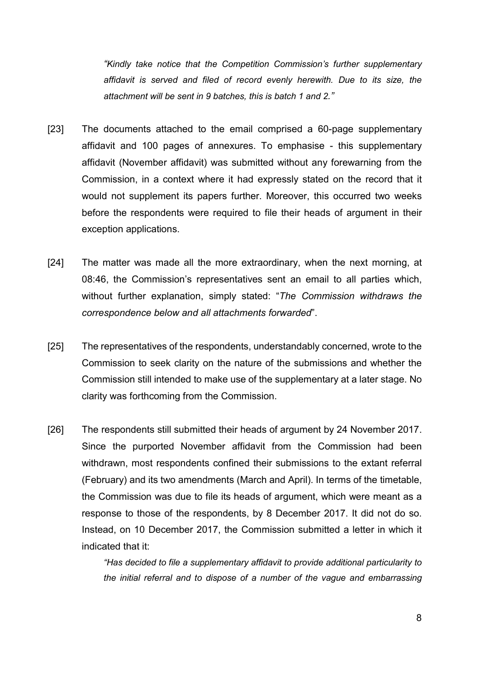"Kindly take notice that the Competition Commission's further supplementary affidavit is served and filed of record evenly herewith. Due to its size, the attachment will be sent in 9 batches, this is batch 1 and 2."

- [23] The documents attached to the email comprised a 60-page supplementary affidavit and 100 pages of annexures. To emphasise - this supplementary affidavit (November affidavit) was submitted without any forewarning from the Commission, in a context where it had expressly stated on the record that it would not supplement its papers further. Moreover, this occurred two weeks before the respondents were required to file their heads of argument in their exception applications.
- [24] The matter was made all the more extraordinary, when the next morning, at 08:46, the Commission's representatives sent an email to all parties which, without further explanation, simply stated: "The Commission withdraws the correspondence below and all attachments forwarded".
- [25] The representatives of the respondents, understandably concerned, wrote to the Commission to seek clarity on the nature of the submissions and whether the Commission still intended to make use of the supplementary at a later stage. No clarity was forthcoming from the Commission.
- [26] The respondents still submitted their heads of argument by 24 November 2017. Since the purported November affidavit from the Commission had been withdrawn, most respondents confined their submissions to the extant referral (February) and its two amendments (March and April). In terms of the timetable, the Commission was due to file its heads of argument, which were meant as a response to those of the respondents, by 8 December 2017. It did not do so. Instead, on 10 December 2017, the Commission submitted a letter in which it indicated that it:

"Has decided to file a supplementary affidavit to provide additional particularity to the initial referral and to dispose of a number of the vague and embarrassing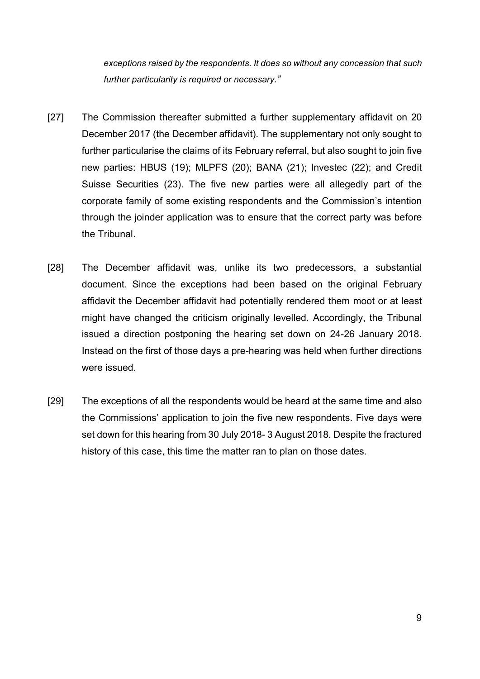exceptions raised by the respondents. It does so without any concession that such further particularity is required or necessary."

- [27] The Commission thereafter submitted a further supplementary affidavit on 20 December 2017 (the December affidavit). The supplementary not only sought to further particularise the claims of its February referral, but also sought to join five new parties: HBUS (19); MLPFS (20); BANA (21); Investec (22); and Credit Suisse Securities (23). The five new parties were all allegedly part of the corporate family of some existing respondents and the Commission's intention through the joinder application was to ensure that the correct party was before the Tribunal.
- [28] The December affidavit was, unlike its two predecessors, a substantial document. Since the exceptions had been based on the original February affidavit the December affidavit had potentially rendered them moot or at least might have changed the criticism originally levelled. Accordingly, the Tribunal issued a direction postponing the hearing set down on 24-26 January 2018. Instead on the first of those days a pre-hearing was held when further directions were issued.
- [29] The exceptions of all the respondents would be heard at the same time and also the Commissions' application to join the five new respondents. Five days were set down for this hearing from 30 July 2018- 3 August 2018. Despite the fractured history of this case, this time the matter ran to plan on those dates.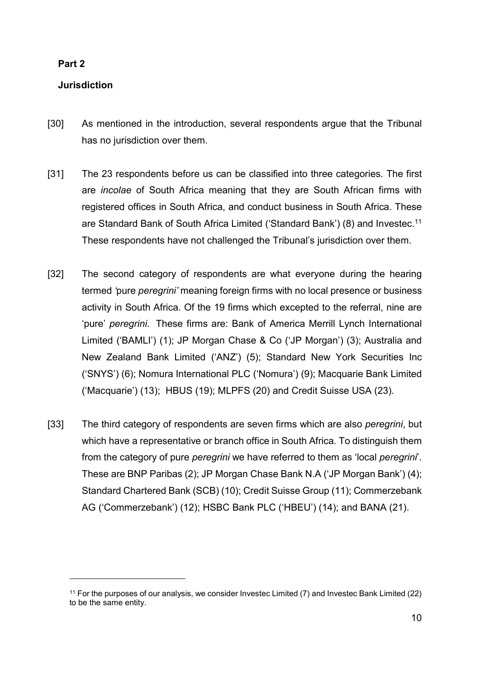## Part 2

 $\overline{a}$ 

## Jurisdiction

- [30] As mentioned in the introduction, several respondents argue that the Tribunal has no jurisdiction over them.
- [31] The 23 respondents before us can be classified into three categories. The first are incolae of South Africa meaning that they are South African firms with registered offices in South Africa, and conduct business in South Africa. These are Standard Bank of South Africa Limited ('Standard Bank') (8) and Investec.<sup>11</sup> These respondents have not challenged the Tribunal's jurisdiction over them.
- [32] The second category of respondents are what everyone during the hearing termed 'pure peregrini' meaning foreign firms with no local presence or business activity in South Africa. Of the 19 firms which excepted to the referral, nine are 'pure' peregrini. These firms are: Bank of America Merrill Lynch International Limited ('BAMLI') (1); JP Morgan Chase & Co ('JP Morgan') (3); Australia and New Zealand Bank Limited ('ANZ') (5); Standard New York Securities Inc ('SNYS') (6); Nomura International PLC ('Nomura') (9); Macquarie Bank Limited ('Macquarie') (13); HBUS (19); MLPFS (20) and Credit Suisse USA (23).
- [33] The third category of respondents are seven firms which are also *peregrini*, but which have a representative or branch office in South Africa. To distinguish them from the category of pure *peregrini* we have referred to them as 'local *peregrini*'. These are BNP Paribas (2); JP Morgan Chase Bank N.A ('JP Morgan Bank') (4); Standard Chartered Bank (SCB) (10); Credit Suisse Group (11); Commerzebank AG ('Commerzebank') (12); HSBC Bank PLC ('HBEU') (14); and BANA (21).

<sup>11</sup> For the purposes of our analysis, we consider Investec Limited (7) and Investec Bank Limited (22) to be the same entity.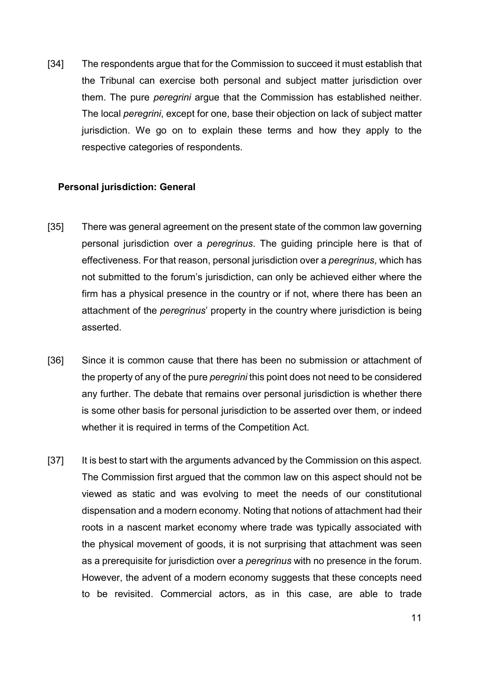[34] The respondents argue that for the Commission to succeed it must establish that the Tribunal can exercise both personal and subject matter jurisdiction over them. The pure *peregrini* argue that the Commission has established neither. The local peregrini, except for one, base their objection on lack of subject matter jurisdiction. We go on to explain these terms and how they apply to the respective categories of respondents.

#### Personal jurisdiction: General

- [35] There was general agreement on the present state of the common law governing personal jurisdiction over a peregrinus. The guiding principle here is that of effectiveness. For that reason, personal jurisdiction over a peregrinus, which has not submitted to the forum's jurisdiction, can only be achieved either where the firm has a physical presence in the country or if not, where there has been an attachment of the peregrinus' property in the country where jurisdiction is being asserted.
- [36] Since it is common cause that there has been no submission or attachment of the property of any of the pure *peregrini* this point does not need to be considered any further. The debate that remains over personal jurisdiction is whether there is some other basis for personal jurisdiction to be asserted over them, or indeed whether it is required in terms of the Competition Act.
- [37] It is best to start with the arguments advanced by the Commission on this aspect. The Commission first argued that the common law on this aspect should not be viewed as static and was evolving to meet the needs of our constitutional dispensation and a modern economy. Noting that notions of attachment had their roots in a nascent market economy where trade was typically associated with the physical movement of goods, it is not surprising that attachment was seen as a prerequisite for jurisdiction over a *peregrinus* with no presence in the forum. However, the advent of a modern economy suggests that these concepts need to be revisited. Commercial actors, as in this case, are able to trade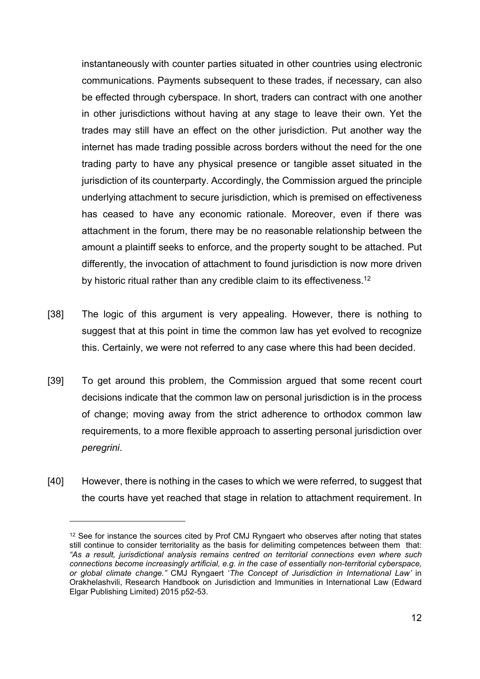instantaneously with counter parties situated in other countries using electronic communications. Payments subsequent to these trades, if necessary, can also be effected through cyberspace. In short, traders can contract with one another in other jurisdictions without having at any stage to leave their own. Yet the trades may still have an effect on the other jurisdiction. Put another way the internet has made trading possible across borders without the need for the one trading party to have any physical presence or tangible asset situated in the jurisdiction of its counterparty. Accordingly, the Commission argued the principle underlying attachment to secure jurisdiction, which is premised on effectiveness has ceased to have any economic rationale. Moreover, even if there was attachment in the forum, there may be no reasonable relationship between the amount a plaintiff seeks to enforce, and the property sought to be attached. Put differently, the invocation of attachment to found jurisdiction is now more driven by historic ritual rather than any credible claim to its effectiveness.<sup>12</sup>

- [38] The logic of this argument is very appealing. However, there is nothing to suggest that at this point in time the common law has yet evolved to recognize this. Certainly, we were not referred to any case where this had been decided.
- [39] To get around this problem, the Commission argued that some recent court decisions indicate that the common law on personal jurisdiction is in the process of change; moving away from the strict adherence to orthodox common law requirements, to a more flexible approach to asserting personal jurisdiction over peregrini.
- [40] However, there is nothing in the cases to which we were referred, to suggest that the courts have yet reached that stage in relation to attachment requirement. In

<sup>&</sup>lt;sup>12</sup> See for instance the sources cited by Prof CMJ Ryngaert who observes after noting that states still continue to consider territoriality as the basis for delimiting competences between them that: "As a result, jurisdictional analysis remains centred on territorial connections even where such connections become increasingly artificial, e.g. in the case of essentially non-territorial cyberspace, or global climate change." CMJ Ryngaert 'The Concept of Jurisdiction in International Law' in Orakhelashvili, Research Handbook on Jurisdiction and Immunities in International Law (Edward Elgar Publishing Limited) 2015 p52-53.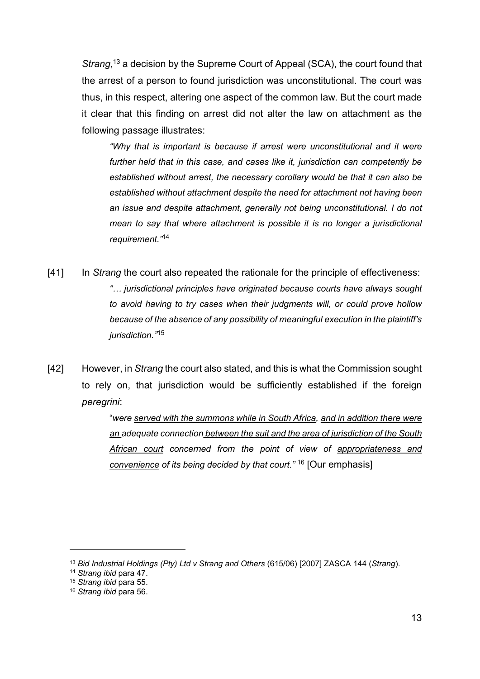Strang,<sup>13</sup> a decision by the Supreme Court of Appeal (SCA), the court found that the arrest of a person to found jurisdiction was unconstitutional. The court was thus, in this respect, altering one aspect of the common law. But the court made it clear that this finding on arrest did not alter the law on attachment as the following passage illustrates:

"Why that is important is because if arrest were unconstitutional and it were further held that in this case, and cases like it, jurisdiction can competently be established without arrest, the necessary corollary would be that it can also be established without attachment despite the need for attachment not having been an issue and despite attachment, generally not being unconstitutional. I do not mean to say that where attachment is possible it is no longer a jurisdictional requirement."<sup>14</sup>

- [41] In Strang the court also repeated the rationale for the principle of effectiveness: "… jurisdictional principles have originated because courts have always sought to avoid having to try cases when their judgments will, or could prove hollow because of the absence of any possibility of meaningful execution in the plaintiff's jurisdiction."<sup>15</sup>
- [42] However, in Strang the court also stated, and this is what the Commission sought to rely on, that jurisdiction would be sufficiently established if the foreign peregrini:

"were served with the summons while in South Africa, and in addition there were an adequate connection between the suit and the area of jurisdiction of the South African court concerned from the point of view of appropriateness and convenience of its being decided by that court." <sup>16</sup> [Our emphasis]

<sup>&</sup>lt;sup>13</sup> Bid Industrial Holdings (Pty) Ltd v Strang and Others (615/06) [2007] ZASCA 144 (Strang).

<sup>14</sup> Strang ibid para 47.

<sup>&</sup>lt;sup>15</sup> Strang ibid para 55.

<sup>&</sup>lt;sup>16</sup> Strang ibid para 56.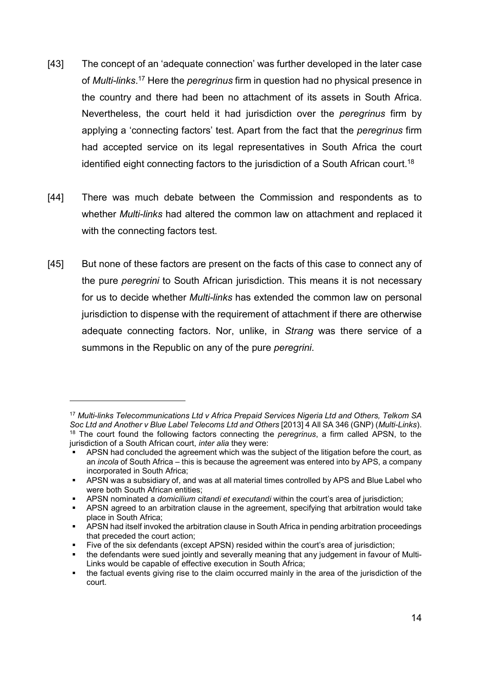- [43] The concept of an 'adequate connection' was further developed in the later case of Multi-links.<sup>17</sup> Here the *peregrinus* firm in question had no physical presence in the country and there had been no attachment of its assets in South Africa. Nevertheless, the court held it had jurisdiction over the peregrinus firm by applying a 'connecting factors' test. Apart from the fact that the peregrinus firm had accepted service on its legal representatives in South Africa the court identified eight connecting factors to the jurisdiction of a South African court.<sup>18</sup>
- [44] There was much debate between the Commission and respondents as to whether Multi-links had altered the common law on attachment and replaced it with the connecting factors test.
- [45] But none of these factors are present on the facts of this case to connect any of the pure peregrini to South African jurisdiction. This means it is not necessary for us to decide whether *Multi-links* has extended the common law on personal jurisdiction to dispense with the requirement of attachment if there are otherwise adequate connecting factors. Nor, unlike, in Strang was there service of a summons in the Republic on any of the pure *peregrini*.

<sup>&</sup>lt;sup>17</sup> Multi-links Telecommunications Ltd v Africa Prepaid Services Nigeria Ltd and Others, Telkom SA Soc Ltd and Another v Blue Label Telecoms Ltd and Others [2013] 4 All SA 346 (GNP) (Multi-Links). <sup>18</sup> The court found the following factors connecting the *peregrinus*, a firm called APSN, to the jurisdiction of a South African court, *inter alia* they were:

**APSN** had concluded the agreement which was the subject of the litigation before the court, as an incola of South Africa – this is because the agreement was entered into by APS, a company incorporated in South Africa;

APSN was a subsidiary of, and was at all material times controlled by APS and Blue Label who were both South African entities;

APSN nominated a *domicilium citandi et executandi* within the court's area of jurisdiction;

APSN agreed to an arbitration clause in the agreement, specifying that arbitration would take place in South Africa;

APSN had itself invoked the arbitration clause in South Africa in pending arbitration proceedings that preceded the court action;

Five of the six defendants (except APSN) resided within the court's area of jurisdiction;

the defendants were sued jointly and severally meaning that any judgement in favour of Multi-Links would be capable of effective execution in South Africa;

the factual events giving rise to the claim occurred mainly in the area of the jurisdiction of the court.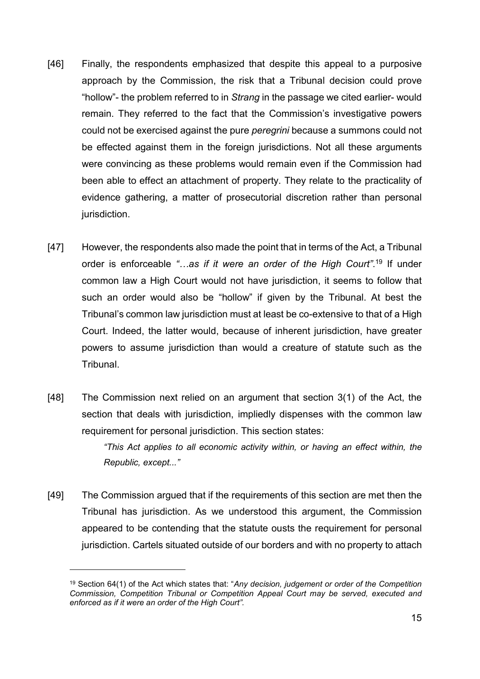- [46] Finally, the respondents emphasized that despite this appeal to a purposive approach by the Commission, the risk that a Tribunal decision could prove "hollow"- the problem referred to in Strang in the passage we cited earlier- would remain. They referred to the fact that the Commission's investigative powers could not be exercised against the pure peregrini because a summons could not be effected against them in the foreign jurisdictions. Not all these arguments were convincing as these problems would remain even if the Commission had been able to effect an attachment of property. They relate to the practicality of evidence gathering, a matter of prosecutorial discretion rather than personal jurisdiction.
- [47] However, the respondents also made the point that in terms of the Act, a Tribunal order is enforceable "...as if it were an order of the High Court".<sup>19</sup> If under common law a High Court would not have jurisdiction, it seems to follow that such an order would also be "hollow" if given by the Tribunal. At best the Tribunal's common law jurisdiction must at least be co-extensive to that of a High Court. Indeed, the latter would, because of inherent jurisdiction, have greater powers to assume jurisdiction than would a creature of statute such as the Tribunal.
- [48] The Commission next relied on an argument that section 3(1) of the Act, the section that deals with jurisdiction, impliedly dispenses with the common law requirement for personal jurisdiction. This section states:

"This Act applies to all economic activity within, or having an effect within, the Republic, except..."

[49] The Commission argued that if the requirements of this section are met then the Tribunal has jurisdiction. As we understood this argument, the Commission appeared to be contending that the statute ousts the requirement for personal jurisdiction. Cartels situated outside of our borders and with no property to attach

<sup>&</sup>lt;sup>19</sup> Section 64(1) of the Act which states that: "Any decision, judgement or order of the Competition Commission, Competition Tribunal or Competition Appeal Court may be served, executed and enforced as if it were an order of the High Court".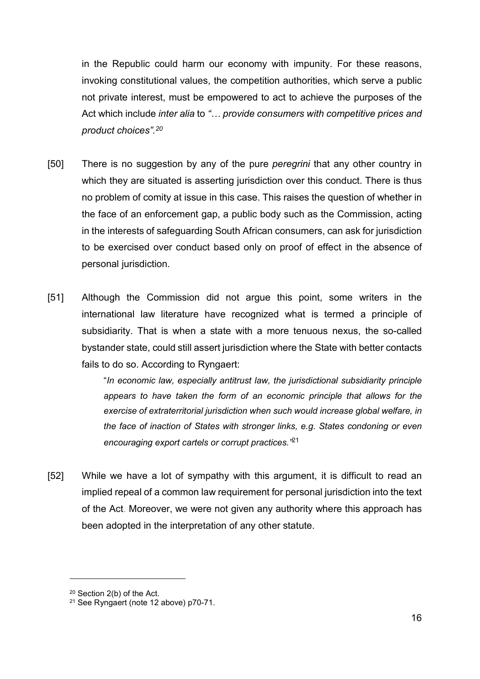in the Republic could harm our economy with impunity. For these reasons, invoking constitutional values, the competition authorities, which serve a public not private interest, must be empowered to act to achieve the purposes of the Act which include inter alia to "... provide consumers with competitive prices and product choices".<sup>20</sup>

- [50] There is no suggestion by any of the pure *peregrini* that any other country in which they are situated is asserting jurisdiction over this conduct. There is thus no problem of comity at issue in this case. This raises the question of whether in the face of an enforcement gap, a public body such as the Commission, acting in the interests of safeguarding South African consumers, can ask for jurisdiction to be exercised over conduct based only on proof of effect in the absence of personal jurisdiction.
- [51] Although the Commission did not argue this point, some writers in the international law literature have recognized what is termed a principle of subsidiarity. That is when a state with a more tenuous nexus, the so-called bystander state, could still assert jurisdiction where the State with better contacts fails to do so. According to Ryngaert:

"In economic law, especially antitrust law, the jurisdictional subsidiarity principle appears to have taken the form of an economic principle that allows for the exercise of extraterritorial jurisdiction when such would increase global welfare, in the face of inaction of States with stronger links, e.g. States condoning or even encouraging export cartels or corrupt practices.<sup>"21</sup>

[52] While we have a lot of sympathy with this argument, it is difficult to read an implied repeal of a common law requirement for personal jurisdiction into the text of the Act. Moreover, we were not given any authority where this approach has been adopted in the interpretation of any other statute.

<sup>20</sup> Section 2(b) of the Act.

<sup>21</sup> See Ryngaert (note 12 above) p70-71.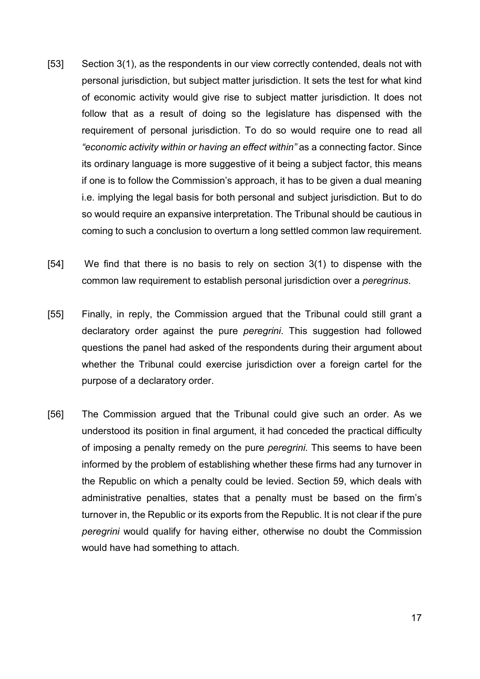- [53] Section 3(1), as the respondents in our view correctly contended, deals not with personal jurisdiction, but subject matter jurisdiction. It sets the test for what kind of economic activity would give rise to subject matter jurisdiction. It does not follow that as a result of doing so the legislature has dispensed with the requirement of personal jurisdiction. To do so would require one to read all "economic activity within or having an effect within" as a connecting factor. Since its ordinary language is more suggestive of it being a subject factor, this means if one is to follow the Commission's approach, it has to be given a dual meaning i.e. implying the legal basis for both personal and subject jurisdiction. But to do so would require an expansive interpretation. The Tribunal should be cautious in coming to such a conclusion to overturn a long settled common law requirement.
- [54] We find that there is no basis to rely on section 3(1) to dispense with the common law requirement to establish personal jurisdiction over a peregrinus.
- [55] Finally, in reply, the Commission argued that the Tribunal could still grant a declaratory order against the pure *peregrini*. This suggestion had followed questions the panel had asked of the respondents during their argument about whether the Tribunal could exercise jurisdiction over a foreign cartel for the purpose of a declaratory order.
- [56] The Commission argued that the Tribunal could give such an order. As we understood its position in final argument, it had conceded the practical difficulty of imposing a penalty remedy on the pure peregrini. This seems to have been informed by the problem of establishing whether these firms had any turnover in the Republic on which a penalty could be levied. Section 59, which deals with administrative penalties, states that a penalty must be based on the firm's turnover in, the Republic or its exports from the Republic. It is not clear if the pure peregrini would qualify for having either, otherwise no doubt the Commission would have had something to attach.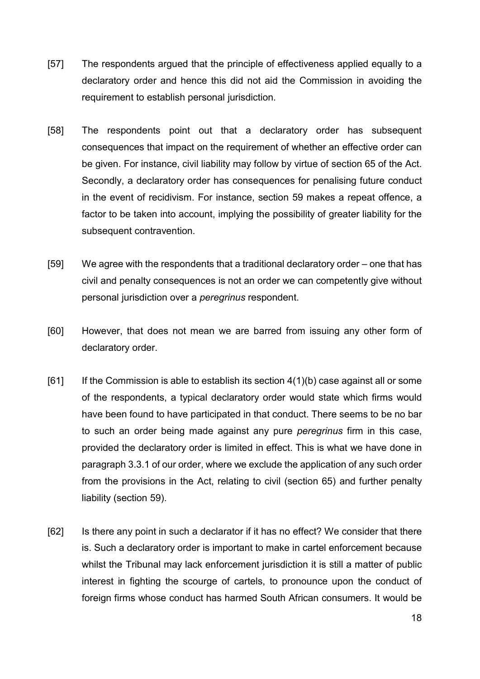- [57] The respondents argued that the principle of effectiveness applied equally to a declaratory order and hence this did not aid the Commission in avoiding the requirement to establish personal jurisdiction.
- [58] The respondents point out that a declaratory order has subsequent consequences that impact on the requirement of whether an effective order can be given. For instance, civil liability may follow by virtue of section 65 of the Act. Secondly, a declaratory order has consequences for penalising future conduct in the event of recidivism. For instance, section 59 makes a repeat offence, a factor to be taken into account, implying the possibility of greater liability for the subsequent contravention.
- [59] We agree with the respondents that a traditional declaratory order one that has civil and penalty consequences is not an order we can competently give without personal jurisdiction over a peregrinus respondent.
- [60] However, that does not mean we are barred from issuing any other form of declaratory order.
- $[61]$  If the Commission is able to establish its section  $4(1)(b)$  case against all or some of the respondents, a typical declaratory order would state which firms would have been found to have participated in that conduct. There seems to be no bar to such an order being made against any pure peregrinus firm in this case, provided the declaratory order is limited in effect. This is what we have done in paragraph 3.3.1 of our order, where we exclude the application of any such order from the provisions in the Act, relating to civil (section 65) and further penalty liability (section 59).
- [62] Is there any point in such a declarator if it has no effect? We consider that there is. Such a declaratory order is important to make in cartel enforcement because whilst the Tribunal may lack enforcement jurisdiction it is still a matter of public interest in fighting the scourge of cartels, to pronounce upon the conduct of foreign firms whose conduct has harmed South African consumers. It would be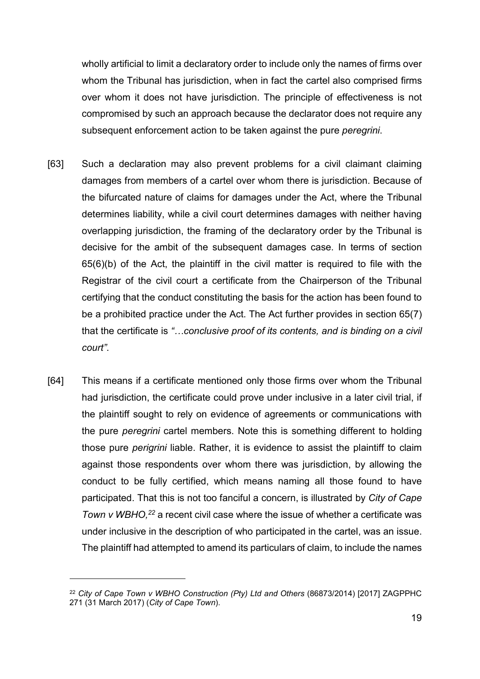wholly artificial to limit a declaratory order to include only the names of firms over whom the Tribunal has jurisdiction, when in fact the cartel also comprised firms over whom it does not have jurisdiction. The principle of effectiveness is not compromised by such an approach because the declarator does not require any subsequent enforcement action to be taken against the pure *peregrini*.

- [63] Such a declaration may also prevent problems for a civil claimant claiming damages from members of a cartel over whom there is jurisdiction. Because of the bifurcated nature of claims for damages under the Act, where the Tribunal determines liability, while a civil court determines damages with neither having overlapping jurisdiction, the framing of the declaratory order by the Tribunal is decisive for the ambit of the subsequent damages case. In terms of section 65(6)(b) of the Act, the plaintiff in the civil matter is required to file with the Registrar of the civil court a certificate from the Chairperson of the Tribunal certifying that the conduct constituting the basis for the action has been found to be a prohibited practice under the Act. The Act further provides in section 65(7) that the certificate is "…conclusive proof of its contents, and is binding on a civil court".
- [64] This means if a certificate mentioned only those firms over whom the Tribunal had jurisdiction, the certificate could prove under inclusive in a later civil trial, if the plaintiff sought to rely on evidence of agreements or communications with the pure peregrini cartel members. Note this is something different to holding those pure perigrini liable. Rather, it is evidence to assist the plaintiff to claim against those respondents over whom there was jurisdiction, by allowing the conduct to be fully certified, which means naming all those found to have participated. That this is not too fanciful a concern, is illustrated by City of Cape Town v WBHO,<sup>22</sup> a recent civil case where the issue of whether a certificate was under inclusive in the description of who participated in the cartel, was an issue. The plaintiff had attempted to amend its particulars of claim, to include the names

<sup>&</sup>lt;sup>22</sup> City of Cape Town v WBHO Construction (Pty) Ltd and Others (86873/2014) [2017] ZAGPPHC 271 (31 March 2017) (City of Cape Town).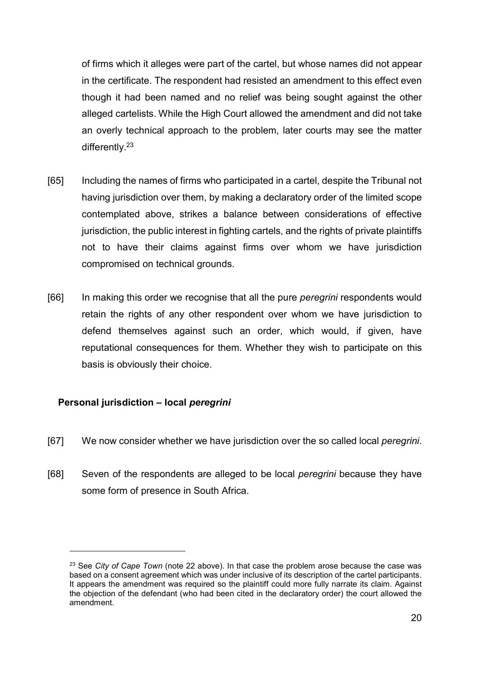of firms which it alleges were part of the cartel, but whose names did not appear in the certificate. The respondent had resisted an amendment to this effect even though it had been named and no relief was being sought against the other alleged cartelists. While the High Court allowed the amendment and did not take an overly technical approach to the problem, later courts may see the matter differently.<sup>23</sup>

- [65] Including the names of firms who participated in a cartel, despite the Tribunal not having jurisdiction over them, by making a declaratory order of the limited scope contemplated above, strikes a balance between considerations of effective jurisdiction, the public interest in fighting cartels, and the rights of private plaintiffs not to have their claims against firms over whom we have jurisdiction compromised on technical grounds.
- [66] In making this order we recognise that all the pure *peregrini* respondents would retain the rights of any other respondent over whom we have jurisdiction to defend themselves against such an order, which would, if given, have reputational consequences for them. Whether they wish to participate on this basis is obviously their choice.

## Personal jurisdiction – local peregrini

- [67] We now consider whether we have jurisdiction over the so called local *peregrini*.
- [68] Seven of the respondents are alleged to be local peregrini because they have some form of presence in South Africa.

 $23$  See City of Cape Town (note 22 above). In that case the problem arose because the case was based on a consent agreement which was under inclusive of its description of the cartel participants. It appears the amendment was required so the plaintiff could more fully narrate its claim. Against the objection of the defendant (who had been cited in the declaratory order) the court allowed the amendment.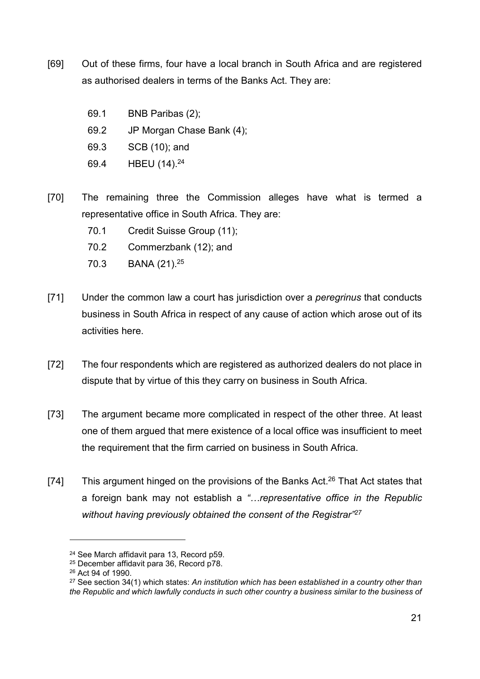- [69] Out of these firms, four have a local branch in South Africa and are registered as authorised dealers in terms of the Banks Act. They are:
	- 69.1 BNB Paribas (2);
	- 69.2 JP Morgan Chase Bank (4);
	- 69.3 SCB (10); and
	- 69.4 HBEU (14).<sup>24</sup>
- [70] The remaining three the Commission alleges have what is termed a representative office in South Africa. They are:
	- 70.1 Credit Suisse Group (11);
	- 70.2 Commerzbank (12); and
	- 70.3 BANA (21).<sup>25</sup>
- [71] Under the common law a court has jurisdiction over a *peregrinus* that conducts business in South Africa in respect of any cause of action which arose out of its activities here.
- [72] The four respondents which are registered as authorized dealers do not place in dispute that by virtue of this they carry on business in South Africa.
- [73] The argument became more complicated in respect of the other three. At least one of them argued that mere existence of a local office was insufficient to meet the requirement that the firm carried on business in South Africa.
- [74] This argument hinged on the provisions of the Banks Act.<sup>26</sup> That Act states that a foreign bank may not establish a "...representative office in the Republic without having previously obtained the consent of the Registrar"<sup>27</sup>

<sup>24</sup> See March affidavit para 13, Record p59.

<sup>25</sup> December affidavit para 36, Record p78.

<sup>26</sup> Act 94 of 1990.

<sup>&</sup>lt;sup>27</sup> See section 34(1) which states: An institution which has been established in a country other than the Republic and which lawfully conducts in such other country a business similar to the business of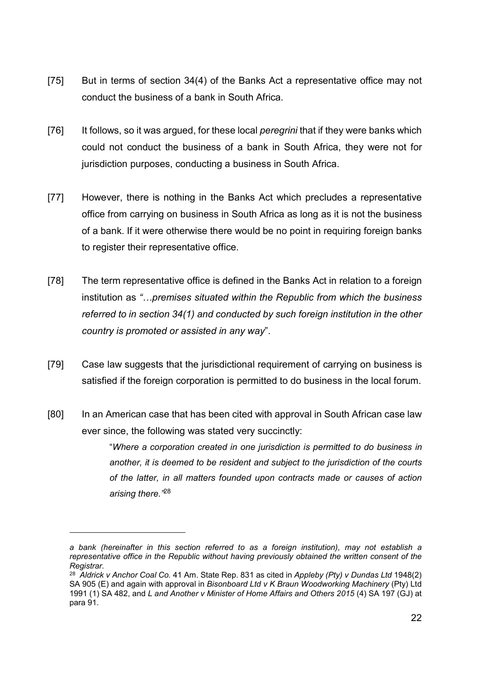- [75] But in terms of section 34(4) of the Banks Act a representative office may not conduct the business of a bank in South Africa.
- [76] It follows, so it was argued, for these local *peregrini* that if they were banks which could not conduct the business of a bank in South Africa, they were not for jurisdiction purposes, conducting a business in South Africa.
- [77] However, there is nothing in the Banks Act which precludes a representative office from carrying on business in South Africa as long as it is not the business of a bank. If it were otherwise there would be no point in requiring foreign banks to register their representative office.
- [78] The term representative office is defined in the Banks Act in relation to a foreign institution as "…premises situated within the Republic from which the business referred to in section 34(1) and conducted by such foreign institution in the other country is promoted or assisted in any way".
- [79] Case law suggests that the jurisdictional requirement of carrying on business is satisfied if the foreign corporation is permitted to do business in the local forum.
- [80] In an American case that has been cited with approval in South African case law ever since, the following was stated very succinctly:

"Where a corporation created in one jurisdiction is permitted to do business in another, it is deemed to be resident and subject to the jurisdiction of the courts of the latter, in all matters founded upon contracts made or causes of action arising there.<sup>"28</sup>

a bank (hereinafter in this section referred to as a foreign institution), may not establish a representative office in the Republic without having previously obtained the written consent of the Registrar.

 $^{28}$  Aldrick v Anchor Coal Co. 41 Am. State Rep. 831 as cited in Appleby (Pty) v Dundas Ltd 1948(2) SA 905 (E) and again with approval in Bisonboard Ltd v K Braun Woodworking Machinery (Pty) Ltd 1991 (1) SA 482, and L and Another v Minister of Home Affairs and Others 2015 (4) SA 197 (GJ) at para 91.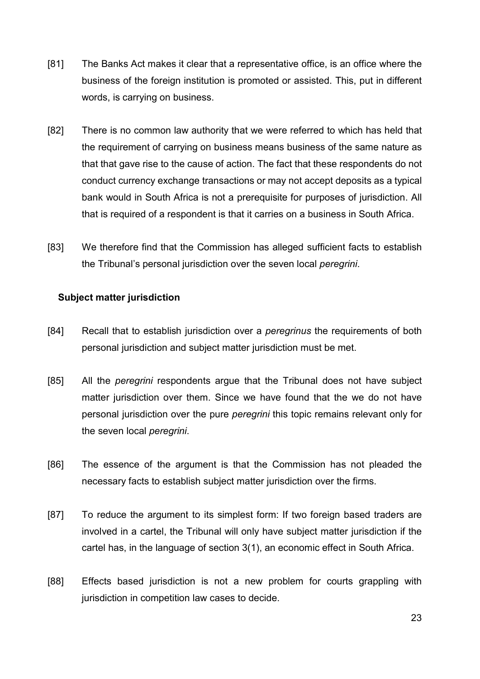- [81] The Banks Act makes it clear that a representative office, is an office where the business of the foreign institution is promoted or assisted. This, put in different words, is carrying on business.
- [82] There is no common law authority that we were referred to which has held that the requirement of carrying on business means business of the same nature as that that gave rise to the cause of action. The fact that these respondents do not conduct currency exchange transactions or may not accept deposits as a typical bank would in South Africa is not a prerequisite for purposes of jurisdiction. All that is required of a respondent is that it carries on a business in South Africa.
- [83] We therefore find that the Commission has alleged sufficient facts to establish the Tribunal's personal jurisdiction over the seven local peregrini.

#### Subject matter jurisdiction

- [84] Recall that to establish jurisdiction over a *peregrinus* the requirements of both personal jurisdiction and subject matter jurisdiction must be met.
- [85] All the *peregrini* respondents argue that the Tribunal does not have subject matter jurisdiction over them. Since we have found that the we do not have personal jurisdiction over the pure peregrini this topic remains relevant only for the seven local peregrini.
- [86] The essence of the argument is that the Commission has not pleaded the necessary facts to establish subject matter jurisdiction over the firms.
- [87] To reduce the argument to its simplest form: If two foreign based traders are involved in a cartel, the Tribunal will only have subject matter jurisdiction if the cartel has, in the language of section 3(1), an economic effect in South Africa.
- [88] Effects based jurisdiction is not a new problem for courts grappling with jurisdiction in competition law cases to decide.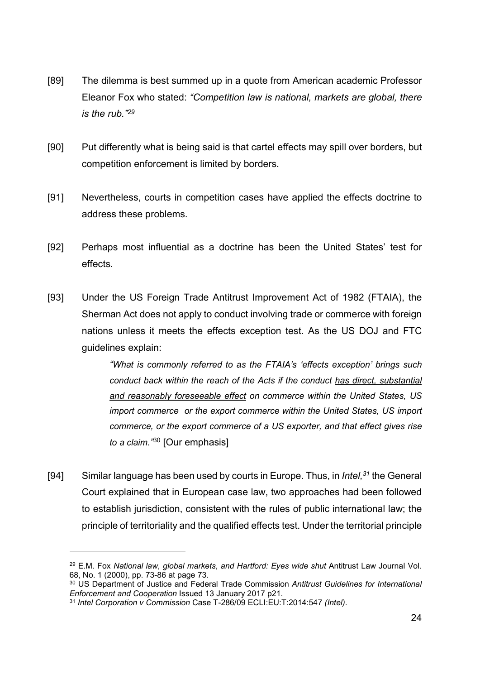- [89] The dilemma is best summed up in a quote from American academic Professor Eleanor Fox who stated: "Competition law is national, markets are global, there is the rub."<sup>29</sup>
- [90] Put differently what is being said is that cartel effects may spill over borders, but competition enforcement is limited by borders.
- [91] Nevertheless, courts in competition cases have applied the effects doctrine to address these problems.
- [92] Perhaps most influential as a doctrine has been the United States' test for effects.
- [93] Under the US Foreign Trade Antitrust Improvement Act of 1982 (FTAIA), the Sherman Act does not apply to conduct involving trade or commerce with foreign nations unless it meets the effects exception test. As the US DOJ and FTC guidelines explain:

"What is commonly referred to as the FTAIA's 'effects exception' brings such conduct back within the reach of the Acts if the conduct has direct, substantial and reasonably foreseeable effect on commerce within the United States, US import commerce or the export commerce within the United States, US import commerce, or the export commerce of a US exporter, and that effect gives rise to a claim.<sup>"30</sup> [Our emphasis]

[94] Similar language has been used by courts in Europe. Thus, in *Intel*,  $31$  the General Court explained that in European case law, two approaches had been followed to establish jurisdiction, consistent with the rules of public international law; the principle of territoriality and the qualified effects test. Under the territorial principle

<sup>&</sup>lt;sup>29</sup> E.M. Fox National law, global markets, and Hartford: Eyes wide shut Antitrust Law Journal Vol. 68, No. 1 (2000), pp. 73-86 at page 73.

<sup>&</sup>lt;sup>30</sup> US Department of Justice and Federal Trade Commission Antitrust Guidelines for International Enforcement and Cooperation Issued 13 January 2017 p21.

<sup>31</sup> Intel Corporation v Commission Case T-286/09 ECLI:EU:T:2014:547 (Intel).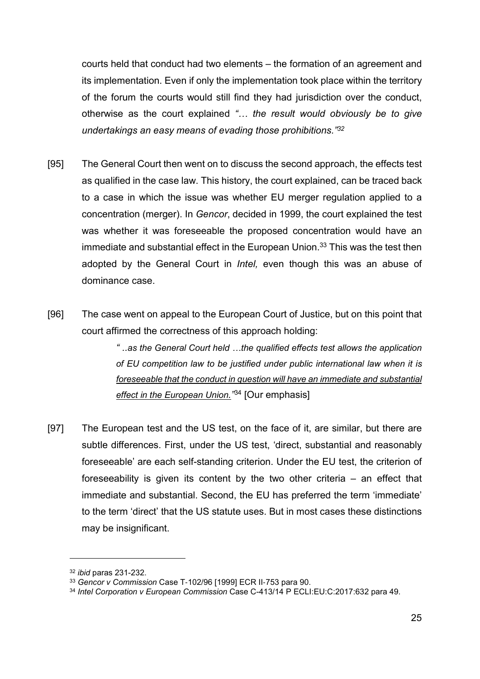courts held that conduct had two elements – the formation of an agreement and its implementation. Even if only the implementation took place within the territory of the forum the courts would still find they had jurisdiction over the conduct, otherwise as the court explained "… the result would obviously be to give undertakings an easy means of evading those prohibitions."<sup>32</sup>

- [95] The General Court then went on to discuss the second approach, the effects test as qualified in the case law. This history, the court explained, can be traced back to a case in which the issue was whether EU merger regulation applied to a concentration (merger). In Gencor, decided in 1999, the court explained the test was whether it was foreseeable the proposed concentration would have an immediate and substantial effect in the European Union.<sup>33</sup> This was the test then adopted by the General Court in Intel, even though this was an abuse of dominance case.
- [96] The case went on appeal to the European Court of Justice, but on this point that court affirmed the correctness of this approach holding:

" ..as the General Court held …the qualified effects test allows the application of EU competition law to be justified under public international law when it is foreseeable that the conduct in question will have an immediate and substantial effect in the European Union.<sup>734</sup> [Our emphasis]

[97] The European test and the US test, on the face of it, are similar, but there are subtle differences. First, under the US test, 'direct, substantial and reasonably foreseeable' are each self-standing criterion. Under the EU test, the criterion of foreseeability is given its content by the two other criteria – an effect that immediate and substantial. Second, the EU has preferred the term 'immediate' to the term 'direct' that the US statute uses. But in most cases these distinctions may be insignificant.

<sup>32</sup> ibid paras 231-232.

<sup>33</sup> Gencor v Commission Case T-102/96 [1999] ECR II-753 para 90.

<sup>&</sup>lt;sup>34</sup> Intel Corporation v European Commission Case C-413/14 P ECLI:EU:C:2017:632 para 49.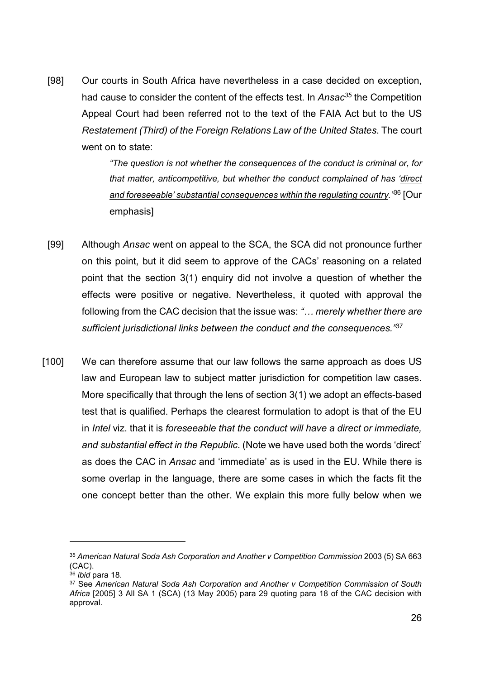[98] Our courts in South Africa have nevertheless in a case decided on exception, had cause to consider the content of the effects test. In Ansac<sup>35</sup> the Competition Appeal Court had been referred not to the text of the FAIA Act but to the US Restatement (Third) of the Foreign Relations Law of the United States. The court went on to state:

> "The question is not whether the consequences of the conduct is criminal or, for that matter, anticompetitive, but whether the conduct complained of has 'direct and foreseeable' substantial consequences within the regulating country.<sup>186</sup> [Our emphasis]

- [99] Although Ansac went on appeal to the SCA, the SCA did not pronounce further on this point, but it did seem to approve of the CACs' reasoning on a related point that the section 3(1) enquiry did not involve a question of whether the effects were positive or negative. Nevertheless, it quoted with approval the following from the CAC decision that the issue was: "... merely whether there are sufficient jurisdictional links between the conduct and the consequences.<sup>"37</sup>
- [100] We can therefore assume that our law follows the same approach as does US law and European law to subject matter jurisdiction for competition law cases. More specifically that through the lens of section 3(1) we adopt an effects-based test that is qualified. Perhaps the clearest formulation to adopt is that of the EU in *Intel viz*, that it is *foreseeable that the conduct will have a direct or immediate.* and substantial effect in the Republic. (Note we have used both the words 'direct' as does the CAC in Ansac and 'immediate' as is used in the EU. While there is some overlap in the language, there are some cases in which the facts fit the one concept better than the other. We explain this more fully below when we

<sup>35</sup> American Natural Soda Ash Corporation and Another v Competition Commission 2003 (5) SA 663 (CAC).

 $36$  *ibid* para 18.

<sup>&</sup>lt;sup>37</sup> See American Natural Soda Ash Corporation and Another v Competition Commission of South Africa [2005] 3 All SA 1 (SCA) (13 May 2005) para 29 quoting para 18 of the CAC decision with approval.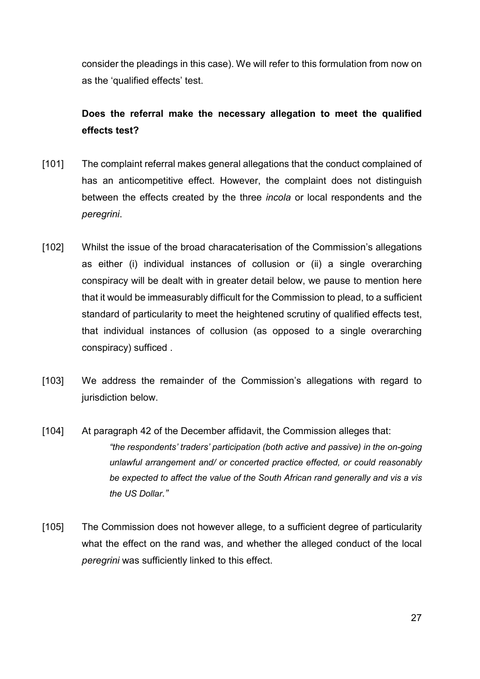consider the pleadings in this case). We will refer to this formulation from now on as the 'qualified effects' test.

# Does the referral make the necessary allegation to meet the qualified effects test?

- [101] The complaint referral makes general allegations that the conduct complained of has an anticompetitive effect. However, the complaint does not distinguish between the effects created by the three incola or local respondents and the peregrini.
- [102] Whilst the issue of the broad characaterisation of the Commission's allegations as either (i) individual instances of collusion or (ii) a single overarching conspiracy will be dealt with in greater detail below, we pause to mention here that it would be immeasurably difficult for the Commission to plead, to a sufficient standard of particularity to meet the heightened scrutiny of qualified effects test, that individual instances of collusion (as opposed to a single overarching conspiracy) sufficed .
- [103] We address the remainder of the Commission's allegations with regard to jurisdiction below.
- [104] At paragraph 42 of the December affidavit, the Commission alleges that: "the respondents' traders' participation (both active and passive) in the on-going unlawful arrangement and/ or concerted practice effected, or could reasonably be expected to affect the value of the South African rand generally and vis a vis the US Dollar."
- [105] The Commission does not however allege, to a sufficient degree of particularity what the effect on the rand was, and whether the alleged conduct of the local peregrini was sufficiently linked to this effect.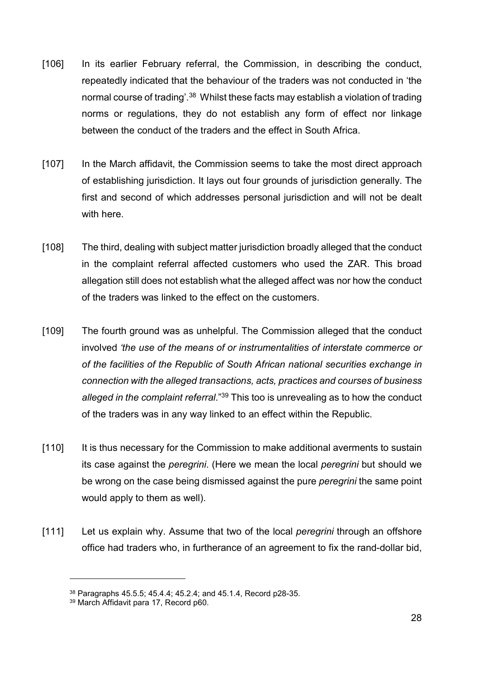- [106] In its earlier February referral, the Commission, in describing the conduct, repeatedly indicated that the behaviour of the traders was not conducted in 'the normal course of trading'.<sup>38</sup> Whilst these facts may establish a violation of trading norms or regulations, they do not establish any form of effect nor linkage between the conduct of the traders and the effect in South Africa.
- [107] In the March affidavit, the Commission seems to take the most direct approach of establishing jurisdiction. It lays out four grounds of jurisdiction generally. The first and second of which addresses personal jurisdiction and will not be dealt with here.
- [108] The third, dealing with subject matter jurisdiction broadly alleged that the conduct in the complaint referral affected customers who used the ZAR. This broad allegation still does not establish what the alleged affect was nor how the conduct of the traders was linked to the effect on the customers.
- [109] The fourth ground was as unhelpful. The Commission alleged that the conduct involved 'the use of the means of or instrumentalities of interstate commerce or of the facilities of the Republic of South African national securities exchange in connection with the alleged transactions, acts, practices and courses of business alleged in the complaint referral."<sup>39</sup> This too is unrevealing as to how the conduct of the traders was in any way linked to an effect within the Republic.
- [110] It is thus necessary for the Commission to make additional averments to sustain its case against the peregrini. (Here we mean the local peregrini but should we be wrong on the case being dismissed against the pure *peregrini* the same point would apply to them as well).
- [111] Let us explain why. Assume that two of the local *peregrini* through an offshore office had traders who, in furtherance of an agreement to fix the rand-dollar bid,

<sup>38</sup> Paragraphs 45.5.5; 45.4.4; 45.2.4; and 45.1.4, Record p28-35.

<sup>39</sup> March Affidavit para 17, Record p60.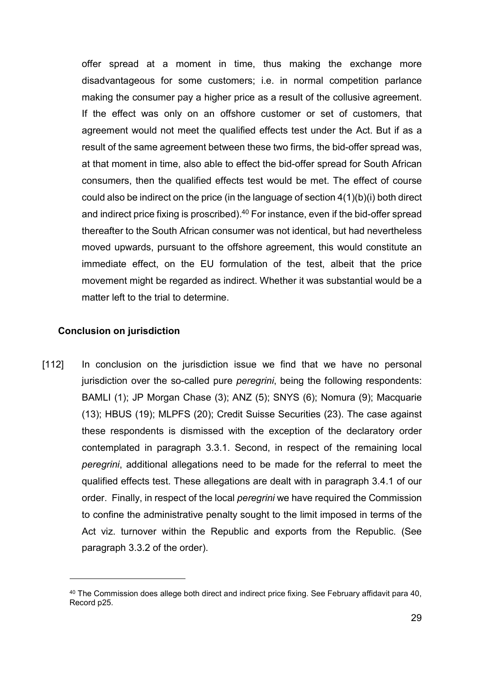offer spread at a moment in time, thus making the exchange more disadvantageous for some customers; i.e. in normal competition parlance making the consumer pay a higher price as a result of the collusive agreement. If the effect was only on an offshore customer or set of customers, that agreement would not meet the qualified effects test under the Act. But if as a result of the same agreement between these two firms, the bid-offer spread was, at that moment in time, also able to effect the bid-offer spread for South African consumers, then the qualified effects test would be met. The effect of course could also be indirect on the price (in the language of section 4(1)(b)(i) both direct and indirect price fixing is proscribed). $40$  For instance, even if the bid-offer spread thereafter to the South African consumer was not identical, but had nevertheless moved upwards, pursuant to the offshore agreement, this would constitute an immediate effect, on the EU formulation of the test, albeit that the price movement might be regarded as indirect. Whether it was substantial would be a matter left to the trial to determine.

#### Conclusion on jurisdiction

 $\overline{a}$ 

[112] In conclusion on the jurisdiction issue we find that we have no personal jurisdiction over the so-called pure peregrini, being the following respondents: BAMLI (1); JP Morgan Chase (3); ANZ (5); SNYS (6); Nomura (9); Macquarie (13); HBUS (19); MLPFS (20); Credit Suisse Securities (23). The case against these respondents is dismissed with the exception of the declaratory order contemplated in paragraph 3.3.1. Second, in respect of the remaining local peregrini, additional allegations need to be made for the referral to meet the qualified effects test. These allegations are dealt with in paragraph 3.4.1 of our order. Finally, in respect of the local *peregrini* we have required the Commission to confine the administrative penalty sought to the limit imposed in terms of the Act viz. turnover within the Republic and exports from the Republic. (See paragraph 3.3.2 of the order).

<sup>40</sup> The Commission does allege both direct and indirect price fixing. See February affidavit para 40, Record p25.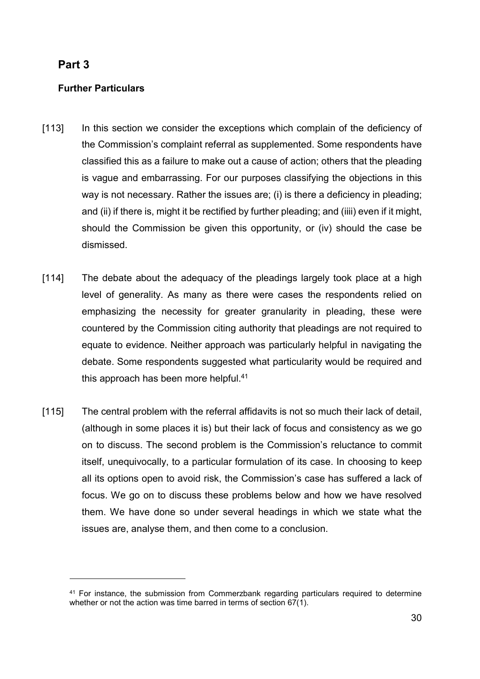# Part 3

 $\overline{a}$ 

#### Further Particulars

- [113] In this section we consider the exceptions which complain of the deficiency of the Commission's complaint referral as supplemented. Some respondents have classified this as a failure to make out a cause of action; others that the pleading is vague and embarrassing. For our purposes classifying the objections in this way is not necessary. Rather the issues are; (i) is there a deficiency in pleading; and (ii) if there is, might it be rectified by further pleading; and (iiii) even if it might, should the Commission be given this opportunity, or (iv) should the case be dismissed.
- [114] The debate about the adequacy of the pleadings largely took place at a high level of generality. As many as there were cases the respondents relied on emphasizing the necessity for greater granularity in pleading, these were countered by the Commission citing authority that pleadings are not required to equate to evidence. Neither approach was particularly helpful in navigating the debate. Some respondents suggested what particularity would be required and this approach has been more helpful.<sup>41</sup>
- [115] The central problem with the referral affidavits is not so much their lack of detail, (although in some places it is) but their lack of focus and consistency as we go on to discuss. The second problem is the Commission's reluctance to commit itself, unequivocally, to a particular formulation of its case. In choosing to keep all its options open to avoid risk, the Commission's case has suffered a lack of focus. We go on to discuss these problems below and how we have resolved them. We have done so under several headings in which we state what the issues are, analyse them, and then come to a conclusion.

<sup>41</sup> For instance, the submission from Commerzbank regarding particulars required to determine whether or not the action was time barred in terms of section 67(1).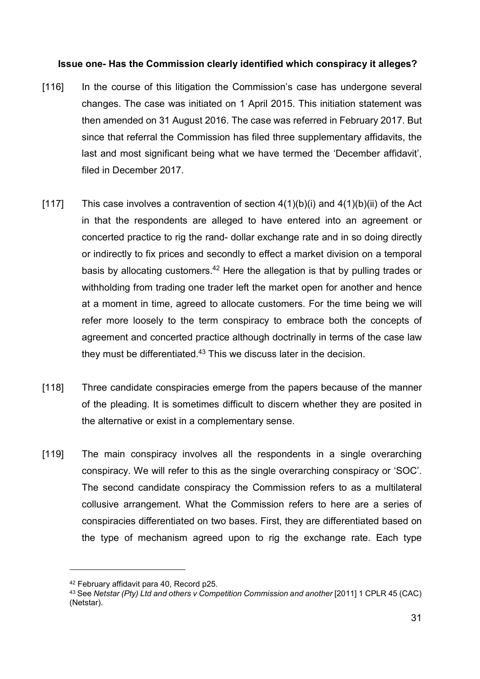#### Issue one- Has the Commission clearly identified which conspiracy it alleges?

- [116] In the course of this litigation the Commission's case has undergone several changes. The case was initiated on 1 April 2015. This initiation statement was then amended on 31 August 2016. The case was referred in February 2017. But since that referral the Commission has filed three supplementary affidavits, the last and most significant being what we have termed the 'December affidavit', filed in December 2017.
- [117] This case involves a contravention of section  $4(1)(b)(i)$  and  $4(1)(b)(ii)$  of the Act in that the respondents are alleged to have entered into an agreement or concerted practice to rig the rand- dollar exchange rate and in so doing directly or indirectly to fix prices and secondly to effect a market division on a temporal basis by allocating customers.<sup>42</sup> Here the allegation is that by pulling trades or withholding from trading one trader left the market open for another and hence at a moment in time, agreed to allocate customers. For the time being we will refer more loosely to the term conspiracy to embrace both the concepts of agreement and concerted practice although doctrinally in terms of the case law they must be differentiated.<sup>43</sup> This we discuss later in the decision.
- [118] Three candidate conspiracies emerge from the papers because of the manner of the pleading. It is sometimes difficult to discern whether they are posited in the alternative or exist in a complementary sense.
- [119] The main conspiracy involves all the respondents in a single overarching conspiracy. We will refer to this as the single overarching conspiracy or 'SOC'. The second candidate conspiracy the Commission refers to as a multilateral collusive arrangement. What the Commission refers to here are a series of conspiracies differentiated on two bases. First, they are differentiated based on the type of mechanism agreed upon to rig the exchange rate. Each type

<sup>42</sup> February affidavit para 40, Record p25.

<sup>43</sup> See Netstar (Pty) Ltd and others v Competition Commission and another [2011] 1 CPLR 45 (CAC) (Netstar).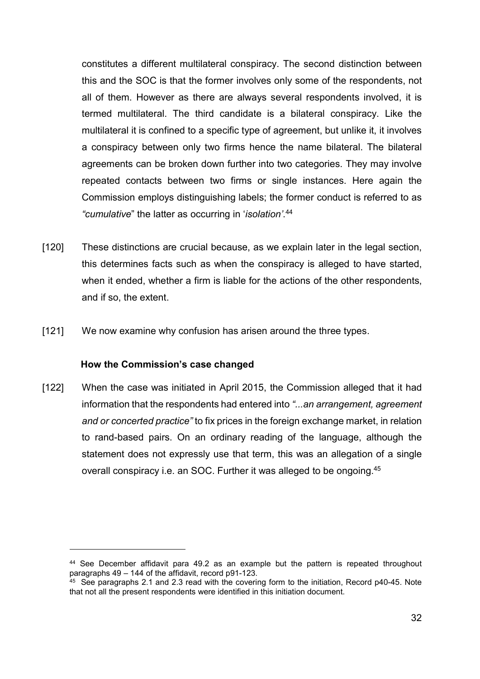constitutes a different multilateral conspiracy. The second distinction between this and the SOC is that the former involves only some of the respondents, not all of them. However as there are always several respondents involved, it is termed multilateral. The third candidate is a bilateral conspiracy. Like the multilateral it is confined to a specific type of agreement, but unlike it, it involves a conspiracy between only two firms hence the name bilateral. The bilateral agreements can be broken down further into two categories. They may involve repeated contacts between two firms or single instances. Here again the Commission employs distinguishing labels; the former conduct is referred to as "cumulative" the latter as occurring in 'isolation'. 44

- [120] These distinctions are crucial because, as we explain later in the legal section, this determines facts such as when the conspiracy is alleged to have started, when it ended, whether a firm is liable for the actions of the other respondents, and if so, the extent.
- [121] We now examine why confusion has arisen around the three types.

#### How the Commission's case changed

 $\overline{a}$ 

[122] When the case was initiated in April 2015, the Commission alleged that it had information that the respondents had entered into "...an arrangement, agreement and or concerted practice" to fix prices in the foreign exchange market, in relation to rand-based pairs. On an ordinary reading of the language, although the statement does not expressly use that term, this was an allegation of a single overall conspiracy i.e. an SOC. Further it was alleged to be ongoing.<sup>45</sup>

<sup>44</sup> See December affidavit para 49.2 as an example but the pattern is repeated throughout paragraphs 49 – 144 of the affidavit, record p91-123.

<sup>&</sup>lt;sup>45</sup> See paragraphs 2.1 and 2.3 read with the covering form to the initiation, Record p40-45. Note that not all the present respondents were identified in this initiation document.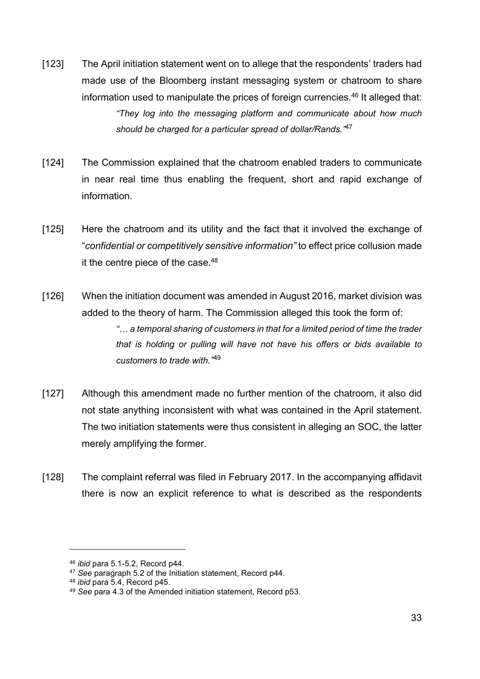- [123] The April initiation statement went on to allege that the respondents' traders had made use of the Bloomberg instant messaging system or chatroom to share information used to manipulate the prices of foreign currencies.<sup>46</sup> It alleged that: "They log into the messaging platform and communicate about how much should be charged for a particular spread of dollar/Rands.<sup>"47</sup>
- [124] The Commission explained that the chatroom enabled traders to communicate in near real time thus enabling the frequent, short and rapid exchange of information.
- [125] Here the chatroom and its utility and the fact that it involved the exchange of "confidential or competitively sensitive information" to effect price collusion made it the centre piece of the case.<sup>48</sup>
- [126] When the initiation document was amended in August 2016, market division was added to the theory of harm. The Commission alleged this took the form of: "… a temporal sharing of customers in that for a limited period of time the trader that is holding or pulling will have not have his offers or bids available to customers to trade with."<sup>49</sup>
- [127] Although this amendment made no further mention of the chatroom, it also did not state anything inconsistent with what was contained in the April statement. The two initiation statements were thus consistent in alleging an SOC, the latter merely amplifying the former.
- [128] The complaint referral was filed in February 2017. In the accompanying affidavit there is now an explicit reference to what is described as the respondents

<sup>46</sup> ibid para 5.1-5.2, Record p44.

<sup>&</sup>lt;sup>47</sup> See paragraph 5.2 of the Initiation statement, Record p44.

<sup>48</sup> ibid para 5.4, Record p45.

<sup>49</sup> See para 4.3 of the Amended initiation statement, Record p53.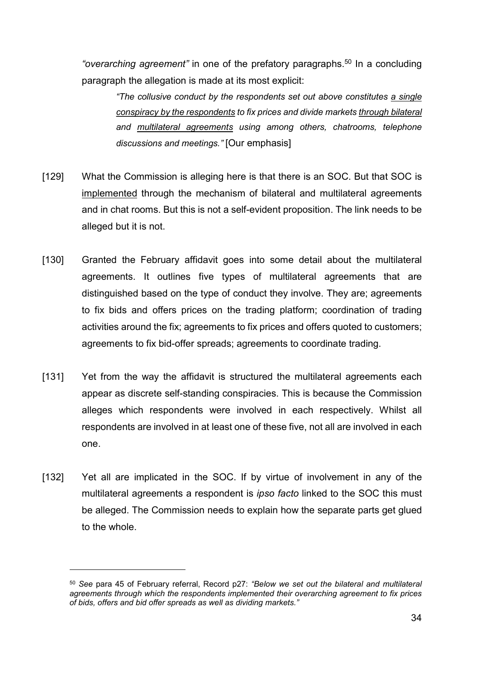"overarching agreement" in one of the prefatory paragraphs.<sup>50</sup> In a concluding paragraph the allegation is made at its most explicit:

"The collusive conduct by the respondents set out above constitutes a single conspiracy by the respondents to fix prices and divide markets through bilateral and multilateral agreements using among others, chatrooms, telephone discussions and meetings." [Our emphasis]

- [129] What the Commission is alleging here is that there is an SOC. But that SOC is implemented through the mechanism of bilateral and multilateral agreements and in chat rooms. But this is not a self-evident proposition. The link needs to be alleged but it is not.
- [130] Granted the February affidavit goes into some detail about the multilateral agreements. It outlines five types of multilateral agreements that are distinguished based on the type of conduct they involve. They are; agreements to fix bids and offers prices on the trading platform; coordination of trading activities around the fix; agreements to fix prices and offers quoted to customers; agreements to fix bid-offer spreads; agreements to coordinate trading.
- [131] Yet from the way the affidavit is structured the multilateral agreements each appear as discrete self-standing conspiracies. This is because the Commission alleges which respondents were involved in each respectively. Whilst all respondents are involved in at least one of these five, not all are involved in each one.
- [132] Yet all are implicated in the SOC. If by virtue of involvement in any of the multilateral agreements a respondent is *ipso facto* linked to the SOC this must be alleged. The Commission needs to explain how the separate parts get glued to the whole.

<sup>50</sup> See para 45 of February referral, Record p27: "Below we set out the bilateral and multilateral agreements through which the respondents implemented their overarching agreement to fix prices of bids, offers and bid offer spreads as well as dividing markets."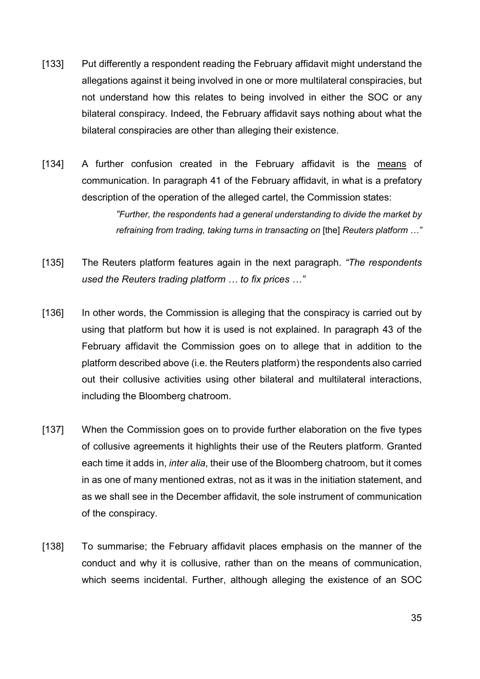- [133] Put differently a respondent reading the February affidavit might understand the allegations against it being involved in one or more multilateral conspiracies, but not understand how this relates to being involved in either the SOC or any bilateral conspiracy. Indeed, the February affidavit says nothing about what the bilateral conspiracies are other than alleging their existence.
- [134] A further confusion created in the February affidavit is the means of communication. In paragraph 41 of the February affidavit, in what is a prefatory description of the operation of the alleged cartel, the Commission states:

"Further, the respondents had a general understanding to divide the market by refraining from trading, taking turns in transacting on [the] Reuters platform …"

- [135] The Reuters platform features again in the next paragraph. "The respondents used the Reuters trading platform … to fix prices …"
- [136] In other words, the Commission is alleging that the conspiracy is carried out by using that platform but how it is used is not explained. In paragraph 43 of the February affidavit the Commission goes on to allege that in addition to the platform described above (i.e. the Reuters platform) the respondents also carried out their collusive activities using other bilateral and multilateral interactions, including the Bloomberg chatroom.
- [137] When the Commission goes on to provide further elaboration on the five types of collusive agreements it highlights their use of the Reuters platform. Granted each time it adds in, inter alia, their use of the Bloomberg chatroom, but it comes in as one of many mentioned extras, not as it was in the initiation statement, and as we shall see in the December affidavit, the sole instrument of communication of the conspiracy.
- [138] To summarise; the February affidavit places emphasis on the manner of the conduct and why it is collusive, rather than on the means of communication, which seems incidental. Further, although alleging the existence of an SOC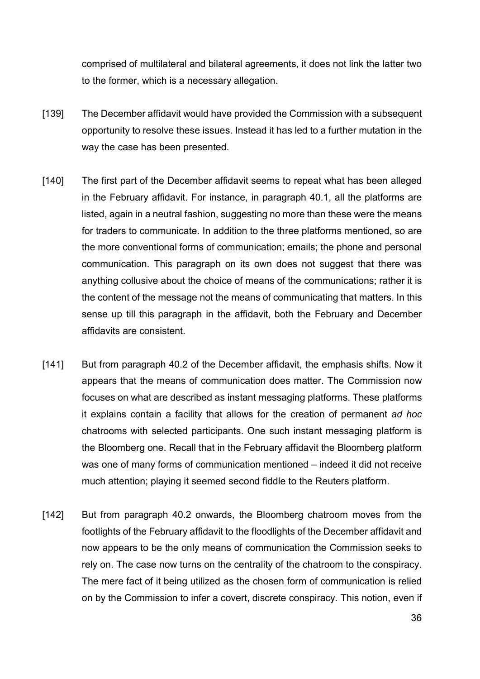comprised of multilateral and bilateral agreements, it does not link the latter two to the former, which is a necessary allegation.

- [139] The December affidavit would have provided the Commission with a subsequent opportunity to resolve these issues. Instead it has led to a further mutation in the way the case has been presented.
- [140] The first part of the December affidavit seems to repeat what has been alleged in the February affidavit. For instance, in paragraph 40.1, all the platforms are listed, again in a neutral fashion, suggesting no more than these were the means for traders to communicate. In addition to the three platforms mentioned, so are the more conventional forms of communication; emails; the phone and personal communication. This paragraph on its own does not suggest that there was anything collusive about the choice of means of the communications; rather it is the content of the message not the means of communicating that matters. In this sense up till this paragraph in the affidavit, both the February and December affidavits are consistent.
- [141] But from paragraph 40.2 of the December affidavit, the emphasis shifts. Now it appears that the means of communication does matter. The Commission now focuses on what are described as instant messaging platforms. These platforms it explains contain a facility that allows for the creation of permanent ad hoc chatrooms with selected participants. One such instant messaging platform is the Bloomberg one. Recall that in the February affidavit the Bloomberg platform was one of many forms of communication mentioned – indeed it did not receive much attention; playing it seemed second fiddle to the Reuters platform.
- [142] But from paragraph 40.2 onwards, the Bloomberg chatroom moves from the footlights of the February affidavit to the floodlights of the December affidavit and now appears to be the only means of communication the Commission seeks to rely on. The case now turns on the centrality of the chatroom to the conspiracy. The mere fact of it being utilized as the chosen form of communication is relied on by the Commission to infer a covert, discrete conspiracy. This notion, even if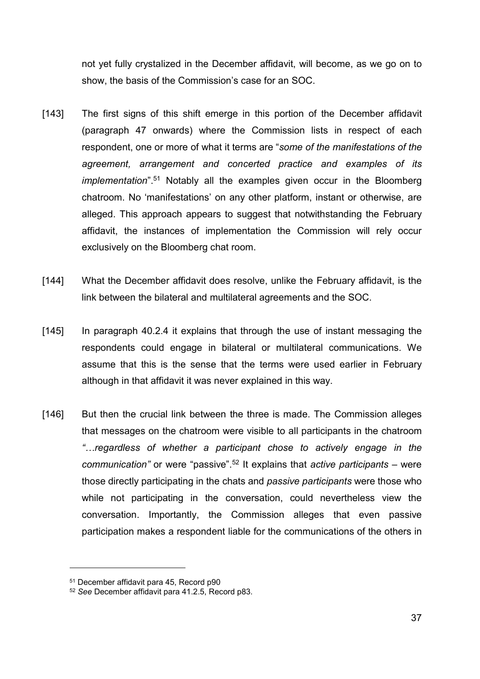not yet fully crystalized in the December affidavit, will become, as we go on to show, the basis of the Commission's case for an SOC.

- [143] The first signs of this shift emerge in this portion of the December affidavit (paragraph 47 onwards) where the Commission lists in respect of each respondent, one or more of what it terms are "some of the manifestations of the agreement, arrangement and concerted practice and examples of its implementation".<sup>51</sup> Notably all the examples given occur in the Bloomberg chatroom. No 'manifestations' on any other platform, instant or otherwise, are alleged. This approach appears to suggest that notwithstanding the February affidavit, the instances of implementation the Commission will rely occur exclusively on the Bloomberg chat room.
- [144] What the December affidavit does resolve, unlike the February affidavit, is the link between the bilateral and multilateral agreements and the SOC.
- [145] In paragraph 40.2.4 it explains that through the use of instant messaging the respondents could engage in bilateral or multilateral communications. We assume that this is the sense that the terms were used earlier in February although in that affidavit it was never explained in this way.
- [146] But then the crucial link between the three is made. The Commission alleges that messages on the chatroom were visible to all participants in the chatroom "…regardless of whether a participant chose to actively engage in the communication" or were "passive".<sup>52</sup> It explains that *active participants –* were those directly participating in the chats and passive participants were those who while not participating in the conversation, could nevertheless view the conversation. Importantly, the Commission alleges that even passive participation makes a respondent liable for the communications of the others in

<sup>51</sup> December affidavit para 45, Record p90

<sup>52</sup> See December affidavit para 41.2.5, Record p83.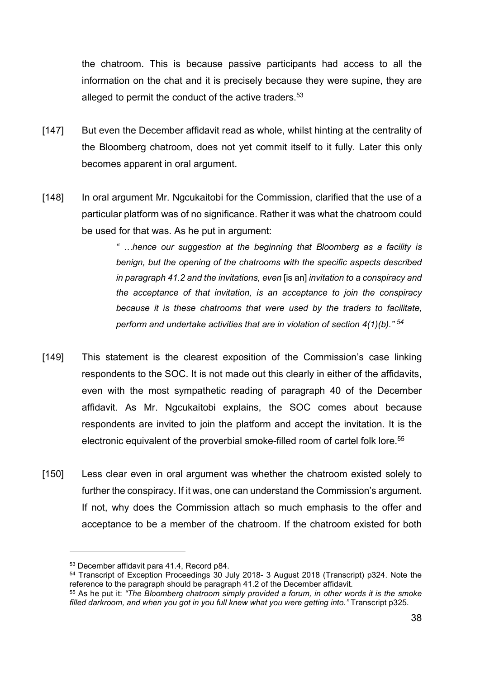the chatroom. This is because passive participants had access to all the information on the chat and it is precisely because they were supine, they are alleged to permit the conduct of the active traders.<sup>53</sup>

- [147] But even the December affidavit read as whole, whilst hinting at the centrality of the Bloomberg chatroom, does not yet commit itself to it fully. Later this only becomes apparent in oral argument.
- [148] In oral argument Mr. Ngcukaitobi for the Commission, clarified that the use of a particular platform was of no significance. Rather it was what the chatroom could be used for that was. As he put in argument:

" …hence our suggestion at the beginning that Bloomberg as a facility is benign, but the opening of the chatrooms with the specific aspects described in paragraph 41.2 and the invitations, even [is an] invitation to a conspiracy and the acceptance of that invitation, is an acceptance to join the conspiracy because it is these chatrooms that were used by the traders to facilitate, perform and undertake activities that are in violation of section  $4(1)(b)$ ."  $54$ 

- [149] This statement is the clearest exposition of the Commission's case linking respondents to the SOC. It is not made out this clearly in either of the affidavits, even with the most sympathetic reading of paragraph 40 of the December affidavit. As Mr. Ngcukaitobi explains, the SOC comes about because respondents are invited to join the platform and accept the invitation. It is the electronic equivalent of the proverbial smoke-filled room of cartel folk lore.<sup>55</sup>
- [150] Less clear even in oral argument was whether the chatroom existed solely to further the conspiracy. If it was, one can understand the Commission's argument. If not, why does the Commission attach so much emphasis to the offer and acceptance to be a member of the chatroom. If the chatroom existed for both

 $\overline{a}$ 

<sup>54</sup> Transcript of Exception Proceedings 30 July 2018- 3 August 2018 (Transcript) p324. Note the reference to the paragraph should be paragraph 41.2 of the December affidavit.

<sup>53</sup> December affidavit para 41.4, Record p84.

<sup>&</sup>lt;sup>55</sup> As he put it: "The Bloomberg chatroom simply provided a forum, in other words it is the smoke filled darkroom, and when you got in you full knew what you were getting into." Transcript p325.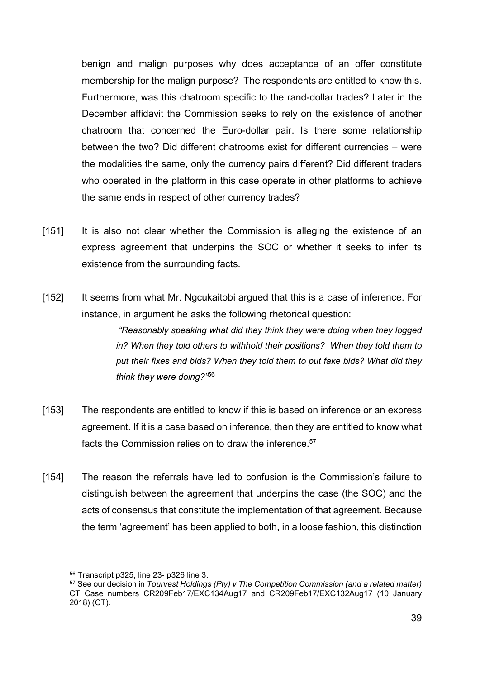benign and malign purposes why does acceptance of an offer constitute membership for the malign purpose? The respondents are entitled to know this. Furthermore, was this chatroom specific to the rand-dollar trades? Later in the December affidavit the Commission seeks to rely on the existence of another chatroom that concerned the Euro-dollar pair. Is there some relationship between the two? Did different chatrooms exist for different currencies – were the modalities the same, only the currency pairs different? Did different traders who operated in the platform in this case operate in other platforms to achieve the same ends in respect of other currency trades?

- [151] It is also not clear whether the Commission is alleging the existence of an express agreement that underpins the SOC or whether it seeks to infer its existence from the surrounding facts.
- [152] It seems from what Mr. Ngcukaitobi argued that this is a case of inference. For instance, in argument he asks the following rhetorical question:

 "Reasonably speaking what did they think they were doing when they logged in? When they told others to withhold their positions? When they told them to put their fixes and bids? When they told them to put fake bids? What did they think they were doing?'56

- [153] The respondents are entitled to know if this is based on inference or an express agreement. If it is a case based on inference, then they are entitled to know what facts the Commission relies on to draw the inference.<sup>57</sup>
- [154] The reason the referrals have led to confusion is the Commission's failure to distinguish between the agreement that underpins the case (the SOC) and the acts of consensus that constitute the implementation of that agreement. Because the term 'agreement' has been applied to both, in a loose fashion, this distinction

<sup>56</sup> Transcript p325, line 23- p326 line 3.

<sup>57</sup> See our decision in Tourvest Holdings (Pty) v The Competition Commission (and a related matter) CT Case numbers CR209Feb17/EXC134Aug17 and CR209Feb17/EXC132Aug17 (10 January 2018) (CT).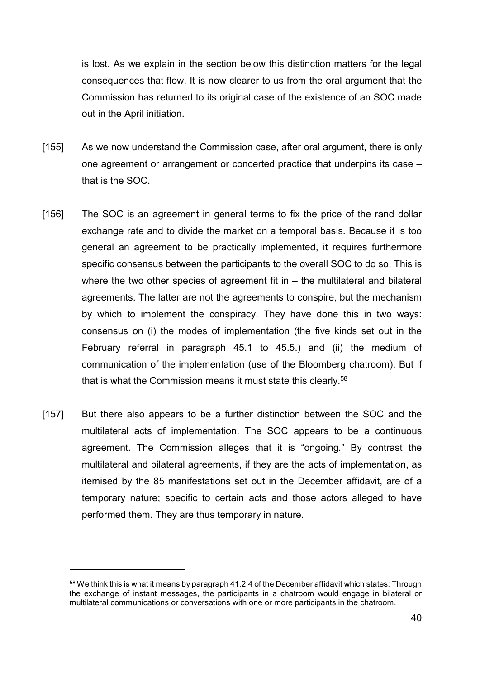is lost. As we explain in the section below this distinction matters for the legal consequences that flow. It is now clearer to us from the oral argument that the Commission has returned to its original case of the existence of an SOC made out in the April initiation.

- [155] As we now understand the Commission case, after oral argument, there is only one agreement or arrangement or concerted practice that underpins its case – that is the SOC.
- [156] The SOC is an agreement in general terms to fix the price of the rand dollar exchange rate and to divide the market on a temporal basis. Because it is too general an agreement to be practically implemented, it requires furthermore specific consensus between the participants to the overall SOC to do so. This is where the two other species of agreement fit in  $-$  the multilateral and bilateral agreements. The latter are not the agreements to conspire, but the mechanism by which to implement the conspiracy. They have done this in two ways: consensus on (i) the modes of implementation (the five kinds set out in the February referral in paragraph 45.1 to 45.5.) and (ii) the medium of communication of the implementation (use of the Bloomberg chatroom). But if that is what the Commission means it must state this clearly.<sup>58</sup>
- [157] But there also appears to be a further distinction between the SOC and the multilateral acts of implementation. The SOC appears to be a continuous agreement. The Commission alleges that it is "ongoing." By contrast the multilateral and bilateral agreements, if they are the acts of implementation, as itemised by the 85 manifestations set out in the December affidavit, are of a temporary nature; specific to certain acts and those actors alleged to have performed them. They are thus temporary in nature.

<sup>58</sup> We think this is what it means by paragraph 41.2.4 of the December affidavit which states: Through the exchange of instant messages, the participants in a chatroom would engage in bilateral or multilateral communications or conversations with one or more participants in the chatroom.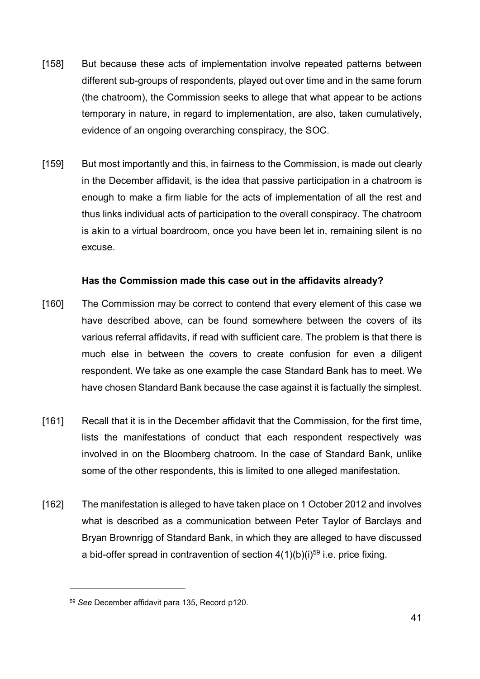- [158] But because these acts of implementation involve repeated patterns between different sub-groups of respondents, played out over time and in the same forum (the chatroom), the Commission seeks to allege that what appear to be actions temporary in nature, in regard to implementation, are also, taken cumulatively, evidence of an ongoing overarching conspiracy, the SOC.
- [159] But most importantly and this, in fairness to the Commission, is made out clearly in the December affidavit, is the idea that passive participation in a chatroom is enough to make a firm liable for the acts of implementation of all the rest and thus links individual acts of participation to the overall conspiracy. The chatroom is akin to a virtual boardroom, once you have been let in, remaining silent is no excuse.

### Has the Commission made this case out in the affidavits already?

- [160] The Commission may be correct to contend that every element of this case we have described above, can be found somewhere between the covers of its various referral affidavits, if read with sufficient care. The problem is that there is much else in between the covers to create confusion for even a diligent respondent. We take as one example the case Standard Bank has to meet. We have chosen Standard Bank because the case against it is factually the simplest.
- [161] Recall that it is in the December affidavit that the Commission, for the first time, lists the manifestations of conduct that each respondent respectively was involved in on the Bloomberg chatroom. In the case of Standard Bank, unlike some of the other respondents, this is limited to one alleged manifestation.
- [162] The manifestation is alleged to have taken place on 1 October 2012 and involves what is described as a communication between Peter Taylor of Barclays and Bryan Brownrigg of Standard Bank, in which they are alleged to have discussed a bid-offer spread in contravention of section  $4(1)(b)(i)^{59}$  i.e. price fixing.

<sup>59</sup> See December affidavit para 135, Record p120.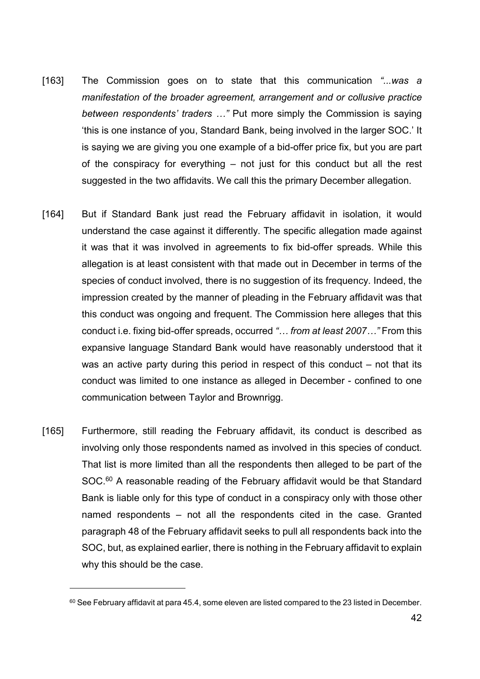- [163] The Commission goes on to state that this communication "...was a manifestation of the broader agreement, arrangement and or collusive practice between respondents' traders …" Put more simply the Commission is saying 'this is one instance of you, Standard Bank, being involved in the larger SOC.' It is saying we are giving you one example of a bid-offer price fix, but you are part of the conspiracy for everything – not just for this conduct but all the rest suggested in the two affidavits. We call this the primary December allegation.
- [164] But if Standard Bank just read the February affidavit in isolation, it would understand the case against it differently. The specific allegation made against it was that it was involved in agreements to fix bid-offer spreads. While this allegation is at least consistent with that made out in December in terms of the species of conduct involved, there is no suggestion of its frequency. Indeed, the impression created by the manner of pleading in the February affidavit was that this conduct was ongoing and frequent. The Commission here alleges that this conduct i.e. fixing bid-offer spreads, occurred "… from at least 2007…" From this expansive language Standard Bank would have reasonably understood that it was an active party during this period in respect of this conduct – not that its conduct was limited to one instance as alleged in December - confined to one communication between Taylor and Brownrigg.
- [165] Furthermore, still reading the February affidavit, its conduct is described as involving only those respondents named as involved in this species of conduct. That list is more limited than all the respondents then alleged to be part of the SOC.<sup>60</sup> A reasonable reading of the February affidavit would be that Standard Bank is liable only for this type of conduct in a conspiracy only with those other named respondents – not all the respondents cited in the case. Granted paragraph 48 of the February affidavit seeks to pull all respondents back into the SOC, but, as explained earlier, there is nothing in the February affidavit to explain why this should be the case.

<sup>60</sup> See February affidavit at para 45.4, some eleven are listed compared to the 23 listed in December.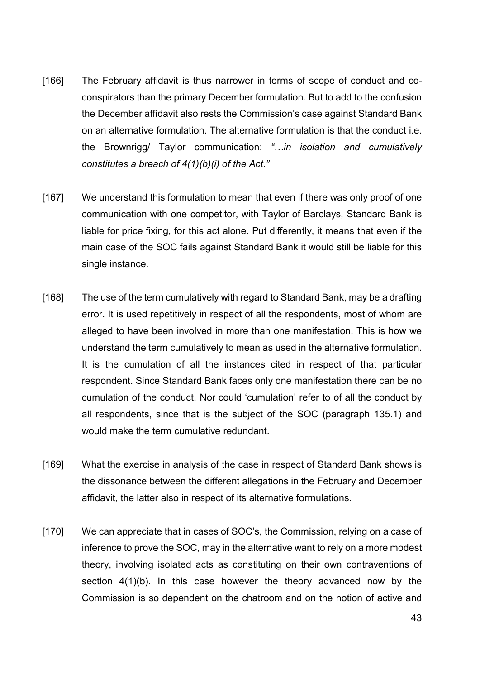- [166] The February affidavit is thus narrower in terms of scope of conduct and coconspirators than the primary December formulation. But to add to the confusion the December affidavit also rests the Commission's case against Standard Bank on an alternative formulation. The alternative formulation is that the conduct i.e. the Brownrigg/ Taylor communication: "…in isolation and cumulatively constitutes a breach of  $4(1)(b)(i)$  of the Act."
- [167] We understand this formulation to mean that even if there was only proof of one communication with one competitor, with Taylor of Barclays, Standard Bank is liable for price fixing, for this act alone. Put differently, it means that even if the main case of the SOC fails against Standard Bank it would still be liable for this single instance.
- [168] The use of the term cumulatively with regard to Standard Bank, may be a drafting error. It is used repetitively in respect of all the respondents, most of whom are alleged to have been involved in more than one manifestation. This is how we understand the term cumulatively to mean as used in the alternative formulation. It is the cumulation of all the instances cited in respect of that particular respondent. Since Standard Bank faces only one manifestation there can be no cumulation of the conduct. Nor could 'cumulation' refer to of all the conduct by all respondents, since that is the subject of the SOC (paragraph 135.1) and would make the term cumulative redundant.
- [169] What the exercise in analysis of the case in respect of Standard Bank shows is the dissonance between the different allegations in the February and December affidavit, the latter also in respect of its alternative formulations.
- [170] We can appreciate that in cases of SOC's, the Commission, relying on a case of inference to prove the SOC, may in the alternative want to rely on a more modest theory, involving isolated acts as constituting on their own contraventions of section 4(1)(b). In this case however the theory advanced now by the Commission is so dependent on the chatroom and on the notion of active and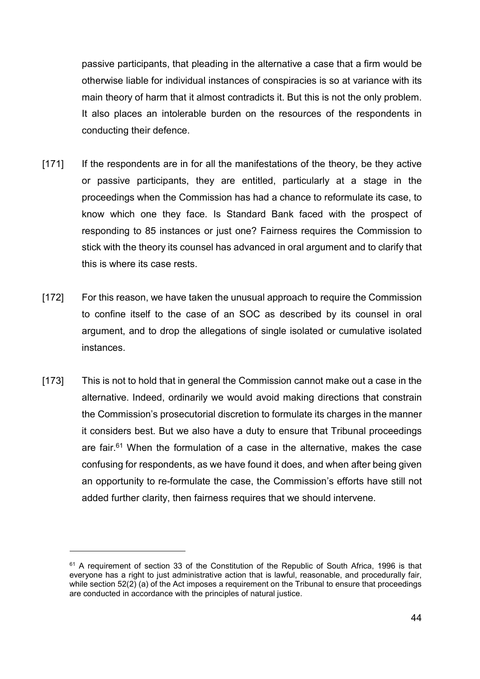passive participants, that pleading in the alternative a case that a firm would be otherwise liable for individual instances of conspiracies is so at variance with its main theory of harm that it almost contradicts it. But this is not the only problem. It also places an intolerable burden on the resources of the respondents in conducting their defence.

- [171] If the respondents are in for all the manifestations of the theory, be they active or passive participants, they are entitled, particularly at a stage in the proceedings when the Commission has had a chance to reformulate its case, to know which one they face. Is Standard Bank faced with the prospect of responding to 85 instances or just one? Fairness requires the Commission to stick with the theory its counsel has advanced in oral argument and to clarify that this is where its case rests.
- [172] For this reason, we have taken the unusual approach to require the Commission to confine itself to the case of an SOC as described by its counsel in oral argument, and to drop the allegations of single isolated or cumulative isolated instances.
- [173] This is not to hold that in general the Commission cannot make out a case in the alternative. Indeed, ordinarily we would avoid making directions that constrain the Commission's prosecutorial discretion to formulate its charges in the manner it considers best. But we also have a duty to ensure that Tribunal proceedings are fair. $61$  When the formulation of a case in the alternative, makes the case confusing for respondents, as we have found it does, and when after being given an opportunity to re-formulate the case, the Commission's efforts have still not added further clarity, then fairness requires that we should intervene.

<sup>61</sup> A requirement of section 33 of the Constitution of the Republic of South Africa, 1996 is that everyone has a right to just administrative action that is lawful, reasonable, and procedurally fair, while section 52(2) (a) of the Act imposes a requirement on the Tribunal to ensure that proceedings are conducted in accordance with the principles of natural justice.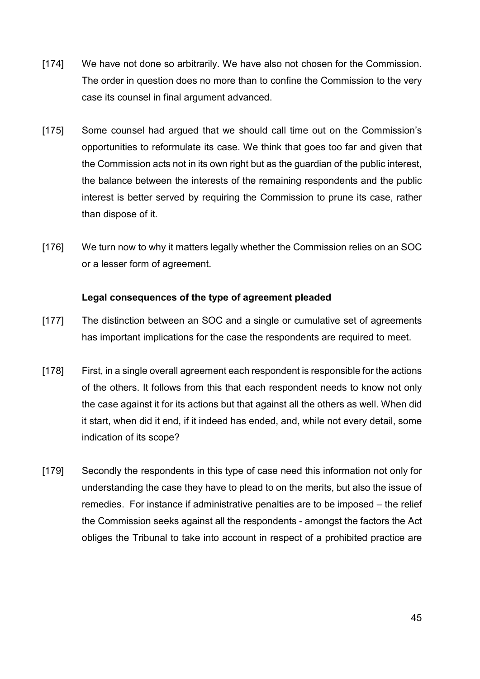- [174] We have not done so arbitrarily. We have also not chosen for the Commission. The order in question does no more than to confine the Commission to the very case its counsel in final argument advanced.
- [175] Some counsel had argued that we should call time out on the Commission's opportunities to reformulate its case. We think that goes too far and given that the Commission acts not in its own right but as the guardian of the public interest, the balance between the interests of the remaining respondents and the public interest is better served by requiring the Commission to prune its case, rather than dispose of it.
- [176] We turn now to why it matters legally whether the Commission relies on an SOC or a lesser form of agreement.

### Legal consequences of the type of agreement pleaded

- [177] The distinction between an SOC and a single or cumulative set of agreements has important implications for the case the respondents are required to meet.
- [178] First, in a single overall agreement each respondent is responsible for the actions of the others. It follows from this that each respondent needs to know not only the case against it for its actions but that against all the others as well. When did it start, when did it end, if it indeed has ended, and, while not every detail, some indication of its scope?
- [179] Secondly the respondents in this type of case need this information not only for understanding the case they have to plead to on the merits, but also the issue of remedies. For instance if administrative penalties are to be imposed – the relief the Commission seeks against all the respondents - amongst the factors the Act obliges the Tribunal to take into account in respect of a prohibited practice are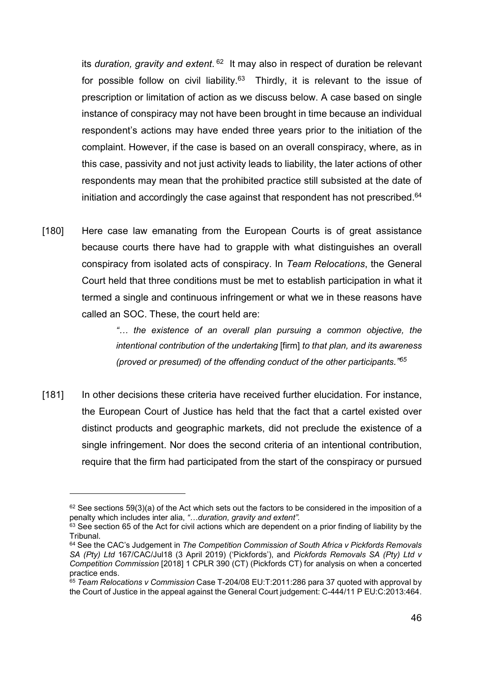its duration, gravity and extent. <sup>62</sup> It may also in respect of duration be relevant for possible follow on civil liability.<sup>63</sup> Thirdly, it is relevant to the issue of prescription or limitation of action as we discuss below. A case based on single instance of conspiracy may not have been brought in time because an individual respondent's actions may have ended three years prior to the initiation of the complaint. However, if the case is based on an overall conspiracy, where, as in this case, passivity and not just activity leads to liability, the later actions of other respondents may mean that the prohibited practice still subsisted at the date of initiation and accordingly the case against that respondent has not prescribed.<sup>64</sup>

[180] Here case law emanating from the European Courts is of great assistance because courts there have had to grapple with what distinguishes an overall conspiracy from isolated acts of conspiracy. In Team Relocations, the General Court held that three conditions must be met to establish participation in what it termed a single and continuous infringement or what we in these reasons have called an SOC. These, the court held are:

> "… the existence of an overall plan pursuing a common objective, the intentional contribution of the undertaking [firm] to that plan, and its awareness (proved or presumed) of the offending conduct of the other participants.<sup>765</sup>

[181] In other decisions these criteria have received further elucidation. For instance, the European Court of Justice has held that the fact that a cartel existed over distinct products and geographic markets, did not preclude the existence of a single infringement. Nor does the second criteria of an intentional contribution, require that the firm had participated from the start of the conspiracy or pursued

 $62$  See sections 59(3)(a) of the Act which sets out the factors to be considered in the imposition of a penalty which includes inter alia, "…duration, gravity and extent".

 $63$  See section 65 of the Act for civil actions which are dependent on a prior finding of liability by the Tribunal.

 $64$  See the CAC's Judgement in The Competition Commission of South Africa v Pickfords Removals SA (Pty) Ltd 167/CAC/Jul18 (3 April 2019) ('Pickfords'), and Pickfords Removals SA (Pty) Ltd v Competition Commission [2018] 1 CPLR 390 (CT) (Pickfords CT) for analysis on when a concerted practice ends.

<sup>65</sup> Team Relocations v Commission Case T-204/08 EU:T:2011:286 para 37 quoted with approval by the Court of Justice in the appeal against the General Court judgement: C-444/11 P EU:C:2013:464.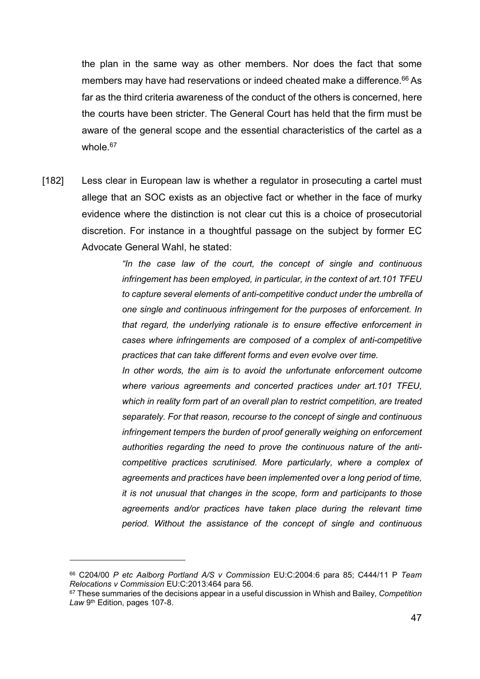the plan in the same way as other members. Nor does the fact that some members may have had reservations or indeed cheated make a difference.<sup>66</sup> As far as the third criteria awareness of the conduct of the others is concerned, here the courts have been stricter. The General Court has held that the firm must be aware of the general scope and the essential characteristics of the cartel as a whole.<sup>67</sup>

[182] Less clear in European law is whether a regulator in prosecuting a cartel must allege that an SOC exists as an objective fact or whether in the face of murky evidence where the distinction is not clear cut this is a choice of prosecutorial discretion. For instance in a thoughtful passage on the subject by former EC Advocate General Wahl, he stated:

> "In the case law of the court, the concept of single and continuous infringement has been employed, in particular, in the context of art.101 TFEU to capture several elements of anti-competitive conduct under the umbrella of one single and continuous infringement for the purposes of enforcement. In that regard, the underlying rationale is to ensure effective enforcement in cases where infringements are composed of a complex of anti-competitive practices that can take different forms and even evolve over time.

> In other words, the aim is to avoid the unfortunate enforcement outcome where various agreements and concerted practices under art.101 TFEU, which in reality form part of an overall plan to restrict competition, are treated separately. For that reason, recourse to the concept of single and continuous infringement tempers the burden of proof generally weighing on enforcement authorities regarding the need to prove the continuous nature of the anticompetitive practices scrutinised. More particularly, where a complex of agreements and practices have been implemented over a long period of time, it is not unusual that changes in the scope, form and participants to those agreements and/or practices have taken place during the relevant time period. Without the assistance of the concept of single and continuous

<sup>&</sup>lt;sup>66</sup> C204/00 P etc Aalborg Portland A/S v Commission EU:C:2004:6 para 85; C444/11 P Team Relocations v Commission EU:C:2013:464 para 56.

 $67$  These summaries of the decisions appear in a useful discussion in Whish and Bailey, Competition Law 9<sup>th</sup> Edition, pages 107-8.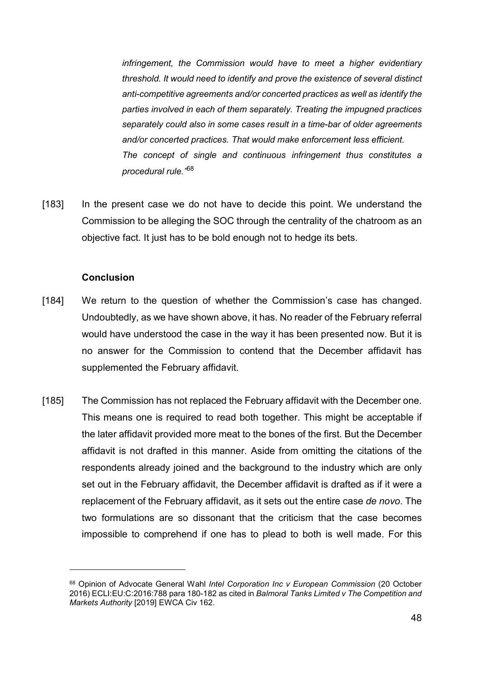infringement, the Commission would have to meet a higher evidentiary threshold. It would need to identify and prove the existence of several distinct anti-competitive agreements and/or concerted practices as well as identify the parties involved in each of them separately. Treating the impugned practices separately could also in some cases result in a time-bar of older agreements and/or concerted practices. That would make enforcement less efficient. The concept of single and continuous infringement thus constitutes a procedural rule."<sup>68</sup>

[183] In the present case we do not have to decide this point. We understand the Commission to be alleging the SOC through the centrality of the chatroom as an objective fact. It just has to be bold enough not to hedge its bets.

### Conclusion

- [184] We return to the question of whether the Commission's case has changed. Undoubtedly, as we have shown above, it has. No reader of the February referral would have understood the case in the way it has been presented now. But it is no answer for the Commission to contend that the December affidavit has supplemented the February affidavit.
- [185] The Commission has not replaced the February affidavit with the December one. This means one is required to read both together. This might be acceptable if the later affidavit provided more meat to the bones of the first. But the December affidavit is not drafted in this manner. Aside from omitting the citations of the respondents already joined and the background to the industry which are only set out in the February affidavit, the December affidavit is drafted as if it were a replacement of the February affidavit, as it sets out the entire case de novo. The two formulations are so dissonant that the criticism that the case becomes impossible to comprehend if one has to plead to both is well made. For this

<sup>68</sup> Opinion of Advocate General Wahl Intel Corporation Inc v European Commission (20 October 2016) ECLI:EU:C:2016:788 para 180-182 as cited in Balmoral Tanks Limited v The Competition and Markets Authority [2019] EWCA Civ 162.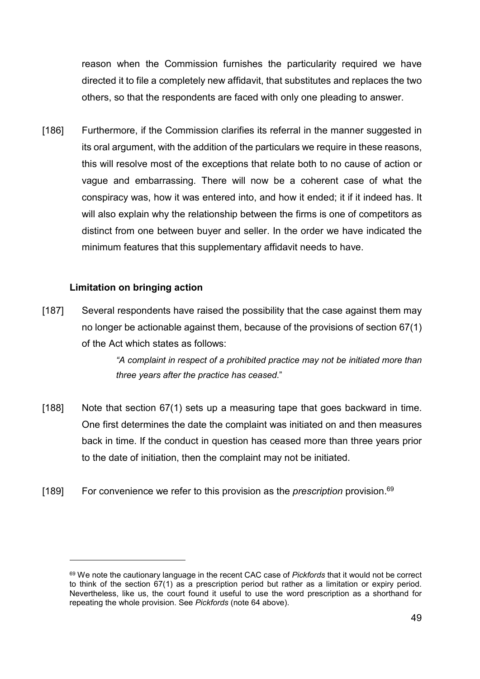reason when the Commission furnishes the particularity required we have directed it to file a completely new affidavit, that substitutes and replaces the two others, so that the respondents are faced with only one pleading to answer.

[186] Furthermore, if the Commission clarifies its referral in the manner suggested in its oral argument, with the addition of the particulars we require in these reasons, this will resolve most of the exceptions that relate both to no cause of action or vague and embarrassing. There will now be a coherent case of what the conspiracy was, how it was entered into, and how it ended; it if it indeed has. It will also explain why the relationship between the firms is one of competitors as distinct from one between buyer and seller. In the order we have indicated the minimum features that this supplementary affidavit needs to have.

### Limitation on bringing action

 $\overline{a}$ 

[187] Several respondents have raised the possibility that the case against them may no longer be actionable against them, because of the provisions of section 67(1) of the Act which states as follows:

> "A complaint in respect of a prohibited practice may not be initiated more than three years after the practice has ceased."

- [188] Note that section 67(1) sets up a measuring tape that goes backward in time. One first determines the date the complaint was initiated on and then measures back in time. If the conduct in question has ceased more than three years prior to the date of initiation, then the complaint may not be initiated.
- [189] For convenience we refer to this provision as the *prescription* provision.<sup>69</sup>

<sup>&</sup>lt;sup>69</sup> We note the cautionary language in the recent CAC case of *Pickfords* that it would not be correct to think of the section 67(1) as a prescription period but rather as a limitation or expiry period. Nevertheless, like us, the court found it useful to use the word prescription as a shorthand for repeating the whole provision. See Pickfords (note 64 above).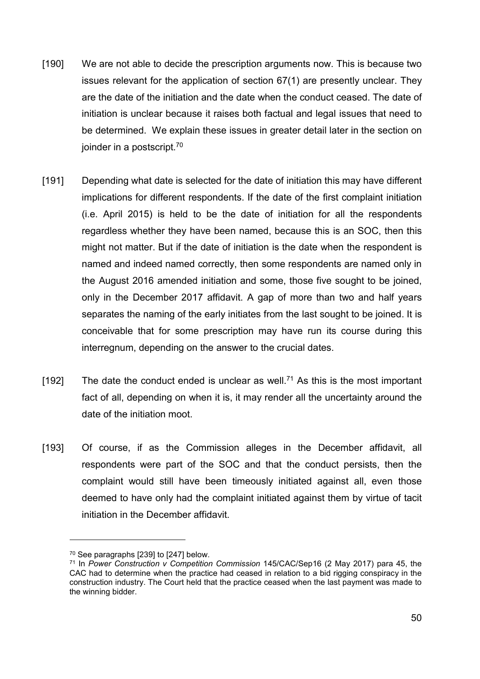- [190] We are not able to decide the prescription arguments now. This is because two issues relevant for the application of section 67(1) are presently unclear. They are the date of the initiation and the date when the conduct ceased. The date of initiation is unclear because it raises both factual and legal issues that need to be determined. We explain these issues in greater detail later in the section on joinder in a postscript.<sup>70</sup>
- [191] Depending what date is selected for the date of initiation this may have different implications for different respondents. If the date of the first complaint initiation (i.e. April 2015) is held to be the date of initiation for all the respondents regardless whether they have been named, because this is an SOC, then this might not matter. But if the date of initiation is the date when the respondent is named and indeed named correctly, then some respondents are named only in the August 2016 amended initiation and some, those five sought to be joined, only in the December 2017 affidavit. A gap of more than two and half years separates the naming of the early initiates from the last sought to be joined. It is conceivable that for some prescription may have run its course during this interregnum, depending on the answer to the crucial dates.
- [192] The date the conduct ended is unclear as well.<sup>71</sup> As this is the most important fact of all, depending on when it is, it may render all the uncertainty around the date of the initiation moot.
- [193] Of course, if as the Commission alleges in the December affidavit, all respondents were part of the SOC and that the conduct persists, then the complaint would still have been timeously initiated against all, even those deemed to have only had the complaint initiated against them by virtue of tacit initiation in the December affidavit.

<sup>70</sup> See paragraphs [239] to [247] below.

<sup>71</sup> In Power Construction v Competition Commission 145/CAC/Sep16 (2 May 2017) para 45, the CAC had to determine when the practice had ceased in relation to a bid rigging conspiracy in the construction industry. The Court held that the practice ceased when the last payment was made to the winning bidder.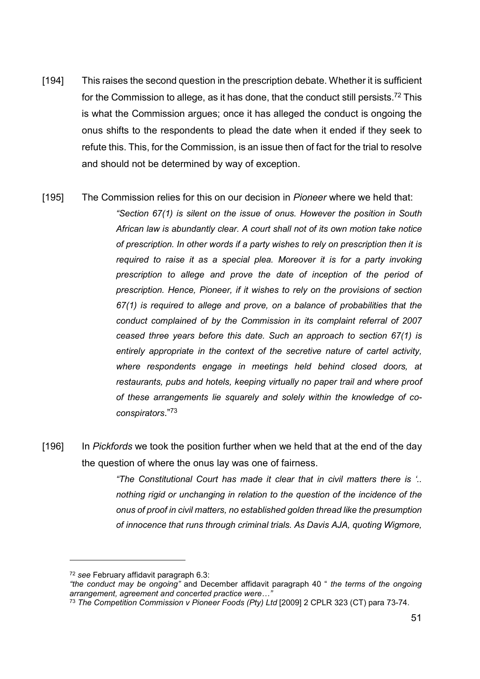- [194] This raises the second question in the prescription debate. Whether it is sufficient for the Commission to allege, as it has done, that the conduct still persists.<sup>72</sup> This is what the Commission argues; once it has alleged the conduct is ongoing the onus shifts to the respondents to plead the date when it ended if they seek to refute this. This, for the Commission, is an issue then of fact for the trial to resolve and should not be determined by way of exception.
- [195] The Commission relies for this on our decision in *Pioneer* where we held that: "Section 67(1) is silent on the issue of onus. However the position in South African law is abundantly clear. A court shall not of its own motion take notice of prescription. In other words if a party wishes to rely on prescription then it is required to raise it as a special plea. Moreover it is for a party invoking prescription to allege and prove the date of inception of the period of prescription. Hence, Pioneer, if it wishes to rely on the provisions of section 67(1) is required to allege and prove, on a balance of probabilities that the conduct complained of by the Commission in its complaint referral of 2007 ceased three years before this date. Such an approach to section 67(1) is entirely appropriate in the context of the secretive nature of cartel activity, where respondents engage in meetings held behind closed doors, at restaurants, pubs and hotels, keeping virtually no paper trail and where proof of these arrangements lie squarely and solely within the knowledge of coconspirators."<sup>73</sup>
- [196] In Pickfords we took the position further when we held that at the end of the day the question of where the onus lay was one of fairness.

"The Constitutional Court has made it clear that in civil matters there is '.. nothing rigid or unchanging in relation to the question of the incidence of the onus of proof in civil matters, no established golden thread like the presumption of innocence that runs through criminal trials. As Davis AJA, quoting Wigmore,

<sup>72</sup> see February affidavit paragraph 6.3:

<sup>&</sup>quot;the conduct may be ongoing" and December affidavit paragraph 40 " the terms of the ongoing arrangement, agreement and concerted practice were…"

<sup>&</sup>lt;sup>73</sup> The Competition Commission v Pioneer Foods (Pty) Ltd [2009] 2 CPLR 323 (CT) para 73-74.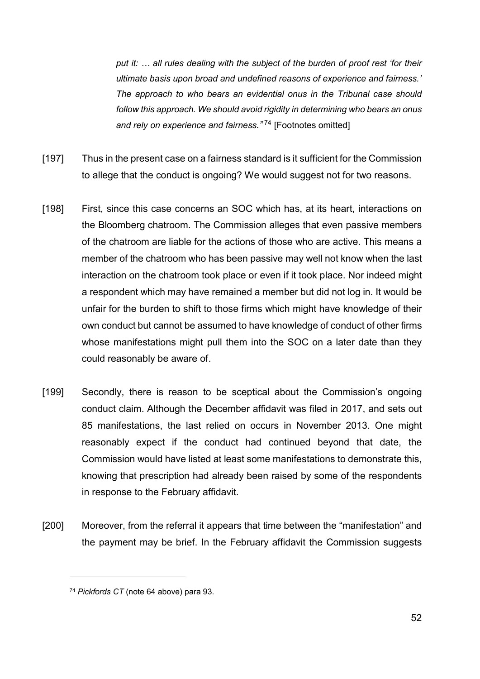put it: … all rules dealing with the subject of the burden of proof rest 'for their ultimate basis upon broad and undefined reasons of experience and fairness.' The approach to who bears an evidential onus in the Tribunal case should follow this approach. We should avoid rigidity in determining who bears an onus and rely on experience and fairness."<sup>74</sup> [Footnotes omitted]

- [197] Thus in the present case on a fairness standard is it sufficient for the Commission to allege that the conduct is ongoing? We would suggest not for two reasons.
- [198] First, since this case concerns an SOC which has, at its heart, interactions on the Bloomberg chatroom. The Commission alleges that even passive members of the chatroom are liable for the actions of those who are active. This means a member of the chatroom who has been passive may well not know when the last interaction on the chatroom took place or even if it took place. Nor indeed might a respondent which may have remained a member but did not log in. It would be unfair for the burden to shift to those firms which might have knowledge of their own conduct but cannot be assumed to have knowledge of conduct of other firms whose manifestations might pull them into the SOC on a later date than they could reasonably be aware of.
- [199] Secondly, there is reason to be sceptical about the Commission's ongoing conduct claim. Although the December affidavit was filed in 2017, and sets out 85 manifestations, the last relied on occurs in November 2013. One might reasonably expect if the conduct had continued beyond that date, the Commission would have listed at least some manifestations to demonstrate this, knowing that prescription had already been raised by some of the respondents in response to the February affidavit.
- [200] Moreover, from the referral it appears that time between the "manifestation" and the payment may be brief. In the February affidavit the Commission suggests

<sup>74</sup> Pickfords CT (note 64 above) para 93.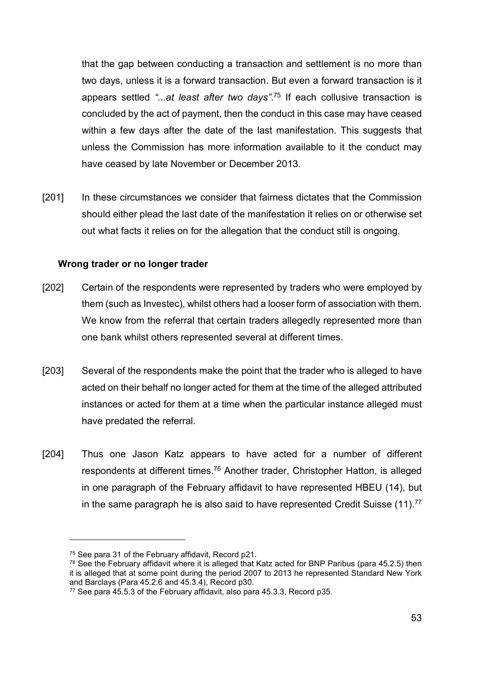that the gap between conducting a transaction and settlement is no more than two days, unless it is a forward transaction. But even a forward transaction is it appears settled "...at least after two days".<sup>75</sup> If each collusive transaction is concluded by the act of payment, then the conduct in this case may have ceased within a few days after the date of the last manifestation. This suggests that unless the Commission has more information available to it the conduct may have ceased by late November or December 2013.

[201] In these circumstances we consider that fairness dictates that the Commission should either plead the last date of the manifestation it relies on or otherwise set out what facts it relies on for the allegation that the conduct still is ongoing.

### Wrong trader or no longer trader

- [202] Certain of the respondents were represented by traders who were employed by them (such as Investec), whilst others had a looser form of association with them. We know from the referral that certain traders allegedly represented more than one bank whilst others represented several at different times.
- [203] Several of the respondents make the point that the trader who is alleged to have acted on their behalf no longer acted for them at the time of the alleged attributed instances or acted for them at a time when the particular instance alleged must have predated the referral.
- [204] Thus one Jason Katz appears to have acted for a number of different respondents at different times.<sup>76</sup> Another trader, Christopher Hatton, is alleged in one paragraph of the February affidavit to have represented HBEU (14), but in the same paragraph he is also said to have represented Credit Suisse (11).<sup>77</sup>

<sup>75</sup> See para 31 of the February affidavit, Record p21.

 $76$  See the February affidavit where it is alleged that Katz acted for BNP Paribus (para 45.2.5) then it is alleged that at some point during the period 2007 to 2013 he represented Standard New York and Barclays (Para 45.2.6 and 45.3.4), Record p30.

<sup>77</sup> See para 45.5.3 of the February affidavit, also para 45.3.3, Record p35.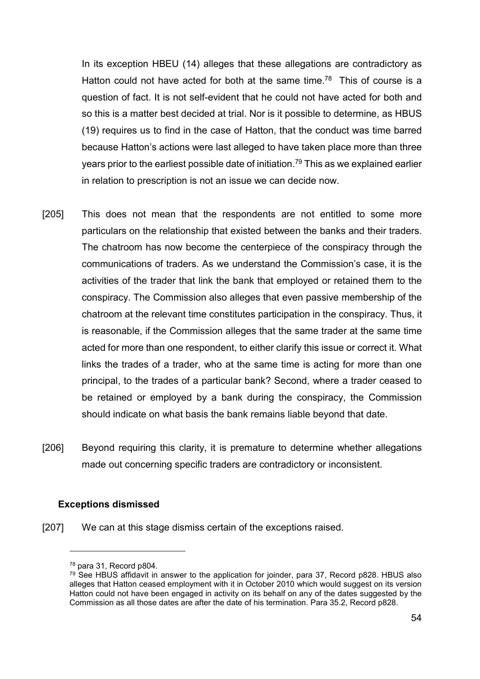In its exception HBEU (14) alleges that these allegations are contradictory as Hatton could not have acted for both at the same time.<sup>78</sup> This of course is a question of fact. It is not self-evident that he could not have acted for both and so this is a matter best decided at trial. Nor is it possible to determine, as HBUS (19) requires us to find in the case of Hatton, that the conduct was time barred because Hatton's actions were last alleged to have taken place more than three years prior to the earliest possible date of initiation.<sup>79</sup> This as we explained earlier in relation to prescription is not an issue we can decide now.

- [205] This does not mean that the respondents are not entitled to some more particulars on the relationship that existed between the banks and their traders. The chatroom has now become the centerpiece of the conspiracy through the communications of traders. As we understand the Commission's case, it is the activities of the trader that link the bank that employed or retained them to the conspiracy. The Commission also alleges that even passive membership of the chatroom at the relevant time constitutes participation in the conspiracy. Thus, it is reasonable, if the Commission alleges that the same trader at the same time acted for more than one respondent, to either clarify this issue or correct it. What links the trades of a trader, who at the same time is acting for more than one principal, to the trades of a particular bank? Second, where a trader ceased to be retained or employed by a bank during the conspiracy, the Commission should indicate on what basis the bank remains liable beyond that date.
- [206] Beyond requiring this clarity, it is premature to determine whether allegations made out concerning specific traders are contradictory or inconsistent.

### Exceptions dismissed

[207] We can at this stage dismiss certain of the exceptions raised.

<sup>78</sup> para 31, Record p804.

<sup>&</sup>lt;sup>79</sup> See HBUS affidavit in answer to the application for joinder, para 37, Record p828. HBUS also alleges that Hatton ceased employment with it in October 2010 which would suggest on its version Hatton could not have been engaged in activity on its behalf on any of the dates suggested by the Commission as all those dates are after the date of his termination. Para 35.2, Record p828.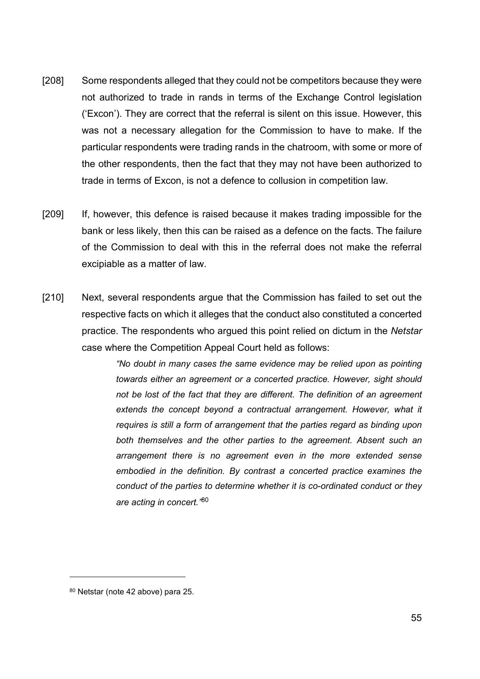- [208] Some respondents alleged that they could not be competitors because they were not authorized to trade in rands in terms of the Exchange Control legislation ('Excon'). They are correct that the referral is silent on this issue. However, this was not a necessary allegation for the Commission to have to make. If the particular respondents were trading rands in the chatroom, with some or more of the other respondents, then the fact that they may not have been authorized to trade in terms of Excon, is not a defence to collusion in competition law.
- [209] If, however, this defence is raised because it makes trading impossible for the bank or less likely, then this can be raised as a defence on the facts. The failure of the Commission to deal with this in the referral does not make the referral excipiable as a matter of law.
- [210] Next, several respondents argue that the Commission has failed to set out the respective facts on which it alleges that the conduct also constituted a concerted practice. The respondents who argued this point relied on dictum in the Netstar case where the Competition Appeal Court held as follows:

"No doubt in many cases the same evidence may be relied upon as pointing towards either an agreement or a concerted practice. However, sight should not be lost of the fact that they are different. The definition of an agreement extends the concept beyond a contractual arrangement. However, what it requires is still a form of arrangement that the parties regard as binding upon both themselves and the other parties to the agreement. Absent such an arrangement there is no agreement even in the more extended sense embodied in the definition. By contrast a concerted practice examines the conduct of the parties to determine whether it is co-ordinated conduct or they are acting in concert. "80

<sup>80</sup> Netstar (note 42 above) para 25.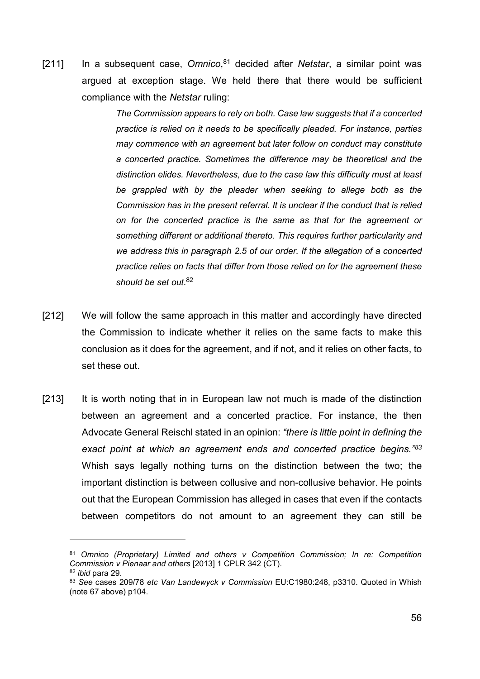[211] In a subsequent case, Omnico, $81$  decided after Netstar, a similar point was argued at exception stage. We held there that there would be sufficient compliance with the Netstar ruling:

> The Commission appears to rely on both. Case law suggests that if a concerted practice is relied on it needs to be specifically pleaded. For instance, parties may commence with an agreement but later follow on conduct may constitute a concerted practice. Sometimes the difference may be theoretical and the distinction elides. Nevertheless, due to the case law this difficulty must at least be grappled with by the pleader when seeking to allege both as the Commission has in the present referral. It is unclear if the conduct that is relied on for the concerted practice is the same as that for the agreement or something different or additional thereto. This requires further particularity and we address this in paragraph 2.5 of our order. If the allegation of a concerted practice relies on facts that differ from those relied on for the agreement these should be set out.<sup>82</sup>

- [212] We will follow the same approach in this matter and accordingly have directed the Commission to indicate whether it relies on the same facts to make this conclusion as it does for the agreement, and if not, and it relies on other facts, to set these out.
- [213] It is worth noting that in in European law not much is made of the distinction between an agreement and a concerted practice. For instance, the then Advocate General Reischl stated in an opinion: "there is little point in defining the exact point at which an agreement ends and concerted practice begins."83 Whish says legally nothing turns on the distinction between the two; the important distinction is between collusive and non-collusive behavior. He points out that the European Commission has alleged in cases that even if the contacts between competitors do not amount to an agreement they can still be

<sup>81</sup> Omnico (Proprietary) Limited and others v Competition Commission; In re: Competition Commission v Pienaar and others [2013] 1 CPLR 342 (CT).

<sup>82</sup> ibid para 29.

<sup>83</sup> See cases 209/78 etc Van Landewyck v Commission EU:C1980:248, p3310. Quoted in Whish (note 67 above) p104.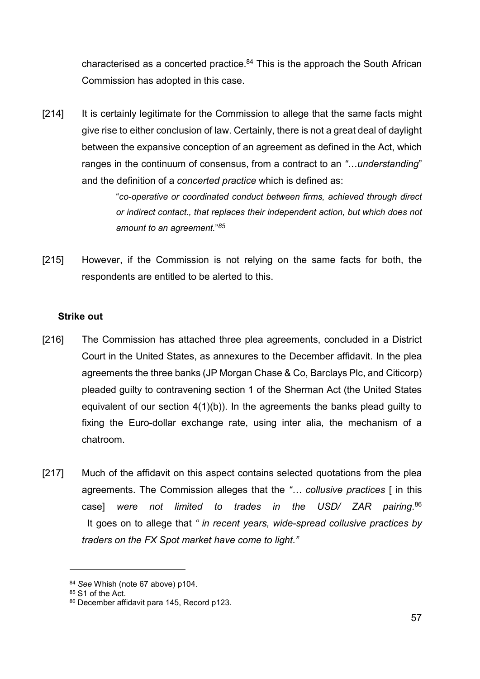characterised as a concerted practice. $84$  This is the approach the South African Commission has adopted in this case.

[214] It is certainly legitimate for the Commission to allege that the same facts might give rise to either conclusion of law. Certainly, there is not a great deal of daylight between the expansive conception of an agreement as defined in the Act, which ranges in the continuum of consensus, from a contract to an "…understanding" and the definition of a concerted practice which is defined as:

> "co-operative or coordinated conduct between firms, achieved through direct or indirect contact., that replaces their independent action, but which does not amount to an agreement."85

[215] However, if the Commission is not relying on the same facts for both, the respondents are entitled to be alerted to this.

### Strike out

- [216] The Commission has attached three plea agreements, concluded in a District Court in the United States, as annexures to the December affidavit. In the plea agreements the three banks (JP Morgan Chase & Co, Barclays Plc, and Citicorp) pleaded guilty to contravening section 1 of the Sherman Act (the United States equivalent of our section 4(1)(b)). In the agreements the banks plead guilty to fixing the Euro-dollar exchange rate, using inter alia, the mechanism of a chatroom.
- [217] Much of the affidavit on this aspect contains selected quotations from the plea agreements. The Commission alleges that the "… collusive practices [ in this casel were not limited to trades in the USD/ ZAR pairing. $86$ It goes on to allege that " in recent years, wide-spread collusive practices by traders on the FX Spot market have come to light."

<sup>84</sup> See Whish (note 67 above) p104.

<sup>85</sup> S1 of the Act.

<sup>86</sup> December affidavit para 145, Record p123.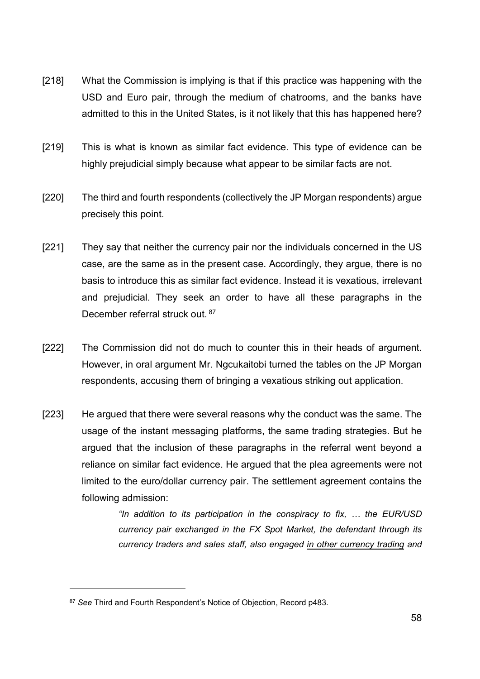- [218] What the Commission is implying is that if this practice was happening with the USD and Euro pair, through the medium of chatrooms, and the banks have admitted to this in the United States, is it not likely that this has happened here?
- [219] This is what is known as similar fact evidence. This type of evidence can be highly prejudicial simply because what appear to be similar facts are not.
- [220] The third and fourth respondents (collectively the JP Morgan respondents) argue precisely this point.
- [221] They say that neither the currency pair nor the individuals concerned in the US case, are the same as in the present case. Accordingly, they argue, there is no basis to introduce this as similar fact evidence. Instead it is vexatious, irrelevant and prejudicial. They seek an order to have all these paragraphs in the December referral struck out. 87
- [222] The Commission did not do much to counter this in their heads of argument. However, in oral argument Mr. Ngcukaitobi turned the tables on the JP Morgan respondents, accusing them of bringing a vexatious striking out application.
- [223] He argued that there were several reasons why the conduct was the same. The usage of the instant messaging platforms, the same trading strategies. But he argued that the inclusion of these paragraphs in the referral went beyond a reliance on similar fact evidence. He argued that the plea agreements were not limited to the euro/dollar currency pair. The settlement agreement contains the following admission:

"In addition to its participation in the conspiracy to fix, … the EUR/USD currency pair exchanged in the FX Spot Market, the defendant through its currency traders and sales staff, also engaged in other currency trading and

<sup>87</sup> See Third and Fourth Respondent's Notice of Objection, Record p483.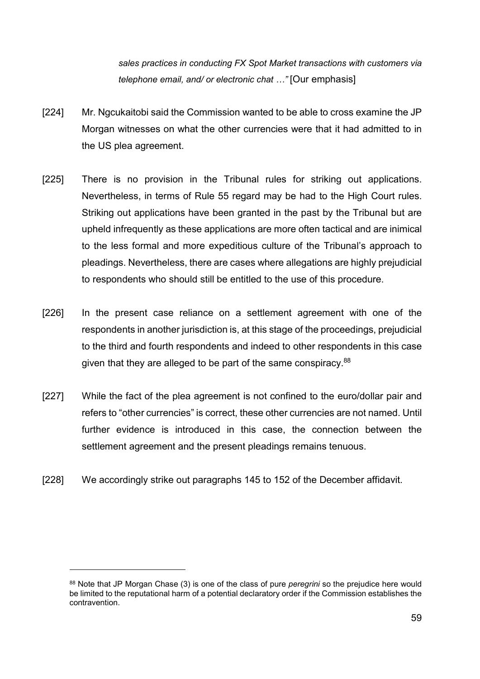sales practices in conducting FX Spot Market transactions with customers via telephone email, and/ or electronic chat …" [Our emphasis]

- [224] Mr. Ngcukaitobi said the Commission wanted to be able to cross examine the JP Morgan witnesses on what the other currencies were that it had admitted to in the US plea agreement.
- [225] There is no provision in the Tribunal rules for striking out applications. Nevertheless, in terms of Rule 55 regard may be had to the High Court rules. Striking out applications have been granted in the past by the Tribunal but are upheld infrequently as these applications are more often tactical and are inimical to the less formal and more expeditious culture of the Tribunal's approach to pleadings. Nevertheless, there are cases where allegations are highly prejudicial to respondents who should still be entitled to the use of this procedure.
- [226] In the present case reliance on a settlement agreement with one of the respondents in another jurisdiction is, at this stage of the proceedings, prejudicial to the third and fourth respondents and indeed to other respondents in this case given that they are alleged to be part of the same conspiracy.<sup>88</sup>
- [227] While the fact of the plea agreement is not confined to the euro/dollar pair and refers to "other currencies" is correct, these other currencies are not named. Until further evidence is introduced in this case, the connection between the settlement agreement and the present pleadings remains tenuous.
- [228] We accordingly strike out paragraphs 145 to 152 of the December affidavit.

<sup>88</sup> Note that JP Morgan Chase (3) is one of the class of pure *peregrini* so the prejudice here would be limited to the reputational harm of a potential declaratory order if the Commission establishes the contravention.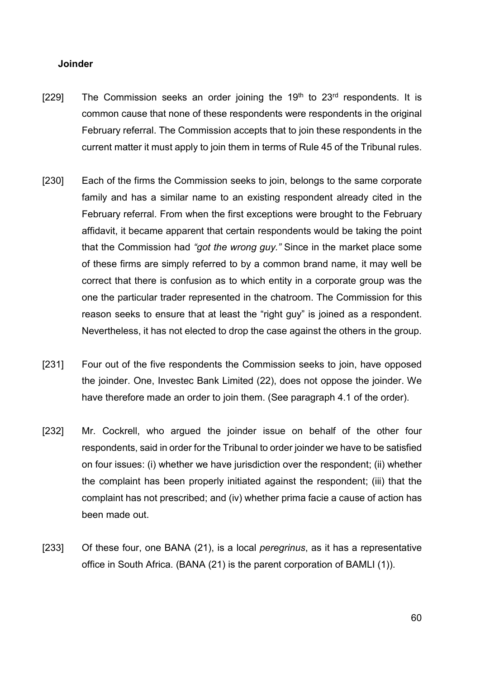#### Joinder

- [229] The Commission seeks an order joining the  $19<sup>th</sup>$  to  $23<sup>rd</sup>$  respondents. It is common cause that none of these respondents were respondents in the original February referral. The Commission accepts that to join these respondents in the current matter it must apply to join them in terms of Rule 45 of the Tribunal rules.
- [230] Each of the firms the Commission seeks to join, belongs to the same corporate family and has a similar name to an existing respondent already cited in the February referral. From when the first exceptions were brought to the February affidavit, it became apparent that certain respondents would be taking the point that the Commission had "got the wrong guy." Since in the market place some of these firms are simply referred to by a common brand name, it may well be correct that there is confusion as to which entity in a corporate group was the one the particular trader represented in the chatroom. The Commission for this reason seeks to ensure that at least the "right guy" is joined as a respondent. Nevertheless, it has not elected to drop the case against the others in the group.
- [231] Four out of the five respondents the Commission seeks to join, have opposed the joinder. One, Investec Bank Limited (22), does not oppose the joinder. We have therefore made an order to join them. (See paragraph 4.1 of the order).
- [232] Mr. Cockrell, who argued the joinder issue on behalf of the other four respondents, said in order for the Tribunal to order joinder we have to be satisfied on four issues: (i) whether we have jurisdiction over the respondent; (ii) whether the complaint has been properly initiated against the respondent; (iii) that the complaint has not prescribed; and (iv) whether prima facie a cause of action has been made out.
- [233] Of these four, one BANA (21), is a local *peregrinus*, as it has a representative office in South Africa. (BANA (21) is the parent corporation of BAMLI (1)).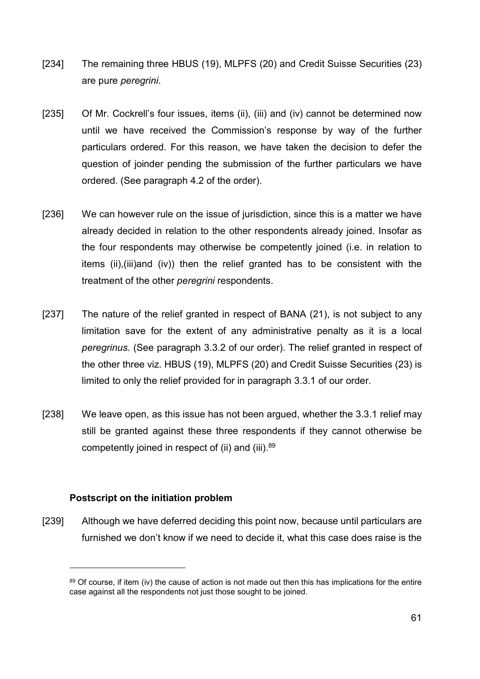- [234] The remaining three HBUS (19), MLPFS (20) and Credit Suisse Securities (23) are pure peregrini.
- [235] Of Mr. Cockrell's four issues, items (ii), (iii) and (iv) cannot be determined now until we have received the Commission's response by way of the further particulars ordered. For this reason, we have taken the decision to defer the question of joinder pending the submission of the further particulars we have ordered. (See paragraph 4.2 of the order).
- [236] We can however rule on the issue of jurisdiction, since this is a matter we have already decided in relation to the other respondents already joined. Insofar as the four respondents may otherwise be competently joined (i.e. in relation to items (ii),(iii)and (iv)) then the relief granted has to be consistent with the treatment of the other *peregrini* respondents.
- [237] The nature of the relief granted in respect of BANA (21), is not subject to any limitation save for the extent of any administrative penalty as it is a local peregrinus. (See paragraph 3.3.2 of our order). The relief granted in respect of the other three viz. HBUS (19), MLPFS (20) and Credit Suisse Securities (23) is limited to only the relief provided for in paragraph 3.3.1 of our order.
- [238] We leave open, as this issue has not been argued, whether the 3.3.1 relief may still be granted against these three respondents if they cannot otherwise be competently joined in respect of (ii) and (iii).<sup>89</sup>

### Postscript on the initiation problem

 $\overline{a}$ 

[239] Although we have deferred deciding this point now, because until particulars are furnished we don't know if we need to decide it, what this case does raise is the

<sup>89</sup> Of course, if item (iv) the cause of action is not made out then this has implications for the entire case against all the respondents not just those sought to be joined.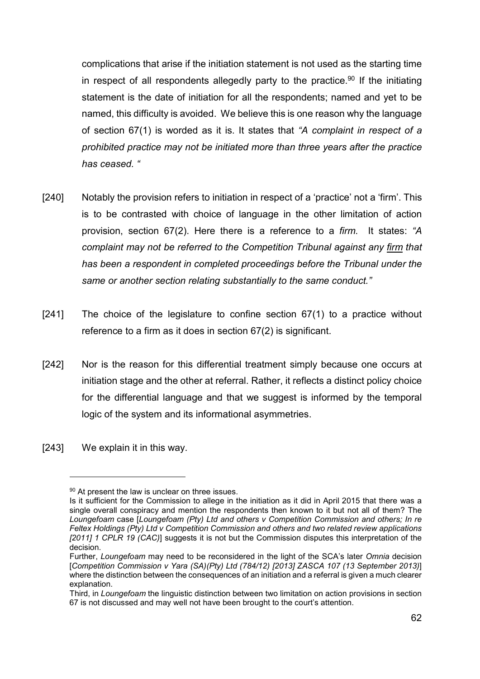complications that arise if the initiation statement is not used as the starting time in respect of all respondents allegedly party to the practice.<sup>90</sup> If the initiating statement is the date of initiation for all the respondents; named and yet to be named, this difficulty is avoided. We believe this is one reason why the language of section 67(1) is worded as it is. It states that "A complaint in respect of a prohibited practice may not be initiated more than three years after the practice has ceased. "

- [240] Notably the provision refers to initiation in respect of a 'practice' not a 'firm'. This is to be contrasted with choice of language in the other limitation of action provision, section 67(2). Here there is a reference to a firm. It states: "A complaint may not be referred to the Competition Tribunal against any firm that has been a respondent in completed proceedings before the Tribunal under the same or another section relating substantially to the same conduct."
- [241] The choice of the legislature to confine section 67(1) to a practice without reference to a firm as it does in section 67(2) is significant.
- [242] Nor is the reason for this differential treatment simply because one occurs at initiation stage and the other at referral. Rather, it reflects a distinct policy choice for the differential language and that we suggest is informed by the temporal logic of the system and its informational asymmetries.
- [243] We explain it in this way.

<sup>90</sup> At present the law is unclear on three issues.

Is it sufficient for the Commission to allege in the initiation as it did in April 2015 that there was a single overall conspiracy and mention the respondents then known to it but not all of them? The Loungefoam case [Loungefoam (Pty) Ltd and others v Competition Commission and others; In re Feltex Holdings (Pty) Ltd v Competition Commission and others and two related review applications [2011] 1 CPLR 19 (CAC)] suggests it is not but the Commission disputes this interpretation of the decision.

Further, Loungefoam may need to be reconsidered in the light of the SCA's later Omnia decision [Competition Commission v Yara (SA)(Pty) Ltd (784/12) [2013] ZASCA 107 (13 September 2013)] where the distinction between the consequences of an initiation and a referral is given a much clearer explanation.

Third, in Loungefoam the linguistic distinction between two limitation on action provisions in section 67 is not discussed and may well not have been brought to the court's attention.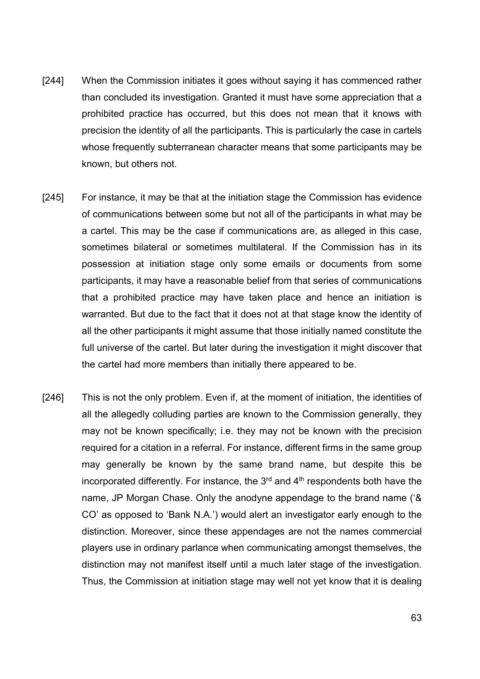- [244] When the Commission initiates it goes without saying it has commenced rather than concluded its investigation. Granted it must have some appreciation that a prohibited practice has occurred, but this does not mean that it knows with precision the identity of all the participants. This is particularly the case in cartels whose frequently subterranean character means that some participants may be known, but others not.
- [245] For instance, it may be that at the initiation stage the Commission has evidence of communications between some but not all of the participants in what may be a cartel. This may be the case if communications are, as alleged in this case, sometimes bilateral or sometimes multilateral. If the Commission has in its possession at initiation stage only some emails or documents from some participants, it may have a reasonable belief from that series of communications that a prohibited practice may have taken place and hence an initiation is warranted. But due to the fact that it does not at that stage know the identity of all the other participants it might assume that those initially named constitute the full universe of the cartel. But later during the investigation it might discover that the cartel had more members than initially there appeared to be.
- [246] This is not the only problem. Even if, at the moment of initiation, the identities of all the allegedly colluding parties are known to the Commission generally, they may not be known specifically; i.e. they may not be known with the precision required for a citation in a referral. For instance, different firms in the same group may generally be known by the same brand name, but despite this be incorporated differently. For instance, the  $3<sup>rd</sup>$  and  $4<sup>th</sup>$  respondents both have the name, JP Morgan Chase. Only the anodyne appendage to the brand name ('& CO' as opposed to 'Bank N.A.') would alert an investigator early enough to the distinction. Moreover, since these appendages are not the names commercial players use in ordinary parlance when communicating amongst themselves, the distinction may not manifest itself until a much later stage of the investigation. Thus, the Commission at initiation stage may well not yet know that it is dealing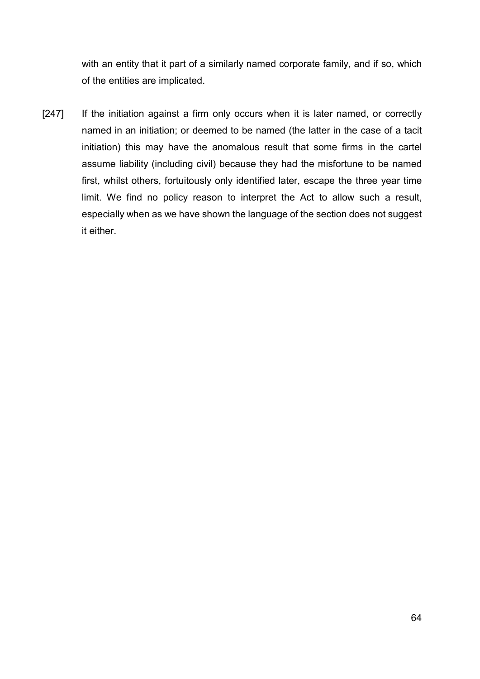with an entity that it part of a similarly named corporate family, and if so, which of the entities are implicated.

[247] If the initiation against a firm only occurs when it is later named, or correctly named in an initiation; or deemed to be named (the latter in the case of a tacit initiation) this may have the anomalous result that some firms in the cartel assume liability (including civil) because they had the misfortune to be named first, whilst others, fortuitously only identified later, escape the three year time limit. We find no policy reason to interpret the Act to allow such a result, especially when as we have shown the language of the section does not suggest it either.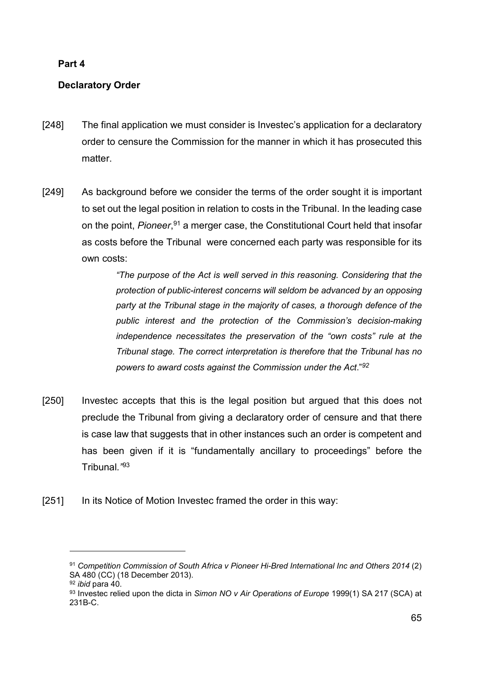# Part 4

# Declaratory Order

- [248] The final application we must consider is Investec's application for a declaratory order to censure the Commission for the manner in which it has prosecuted this matter.
- [249] As background before we consider the terms of the order sought it is important to set out the legal position in relation to costs in the Tribunal. In the leading case on the point, *Pioneer*,<sup>91</sup> a merger case, the Constitutional Court held that insofar as costs before the Tribunal were concerned each party was responsible for its own costs:

"The purpose of the Act is well served in this reasoning. Considering that the protection of public-interest concerns will seldom be advanced by an opposing party at the Tribunal stage in the majority of cases, a thorough defence of the public interest and the protection of the Commission's decision-making independence necessitates the preservation of the "own costs" rule at the Tribunal stage. The correct interpretation is therefore that the Tribunal has no powers to award costs against the Commission under the Act."<sup>92</sup>

- [250] Investec accepts that this is the legal position but argued that this does not preclude the Tribunal from giving a declaratory order of censure and that there is case law that suggests that in other instances such an order is competent and has been given if it is "fundamentally ancillary to proceedings" before the Tribunal."<sup>93</sup>
- [251] In its Notice of Motion Investec framed the order in this way:

<sup>91</sup> Competition Commission of South Africa v Pioneer Hi-Bred International Inc and Others 2014 (2) SA 480 (CC) (18 December 2013).

<sup>92</sup> *ibid* para 40.

<sup>93</sup> Investec relied upon the dicta in Simon NO v Air Operations of Europe 1999(1) SA 217 (SCA) at 231B-C.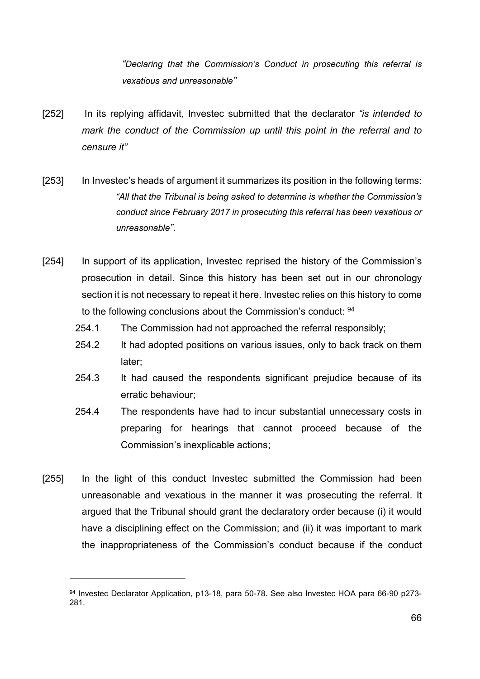"Declaring that the Commission's Conduct in prosecuting this referral is vexatious and unreasonable"

- [252] In its replying affidavit, Investec submitted that the declarator "is intended to mark the conduct of the Commission up until this point in the referral and to censure it"
- [253] In Investec's heads of argument it summarizes its position in the following terms: "All that the Tribunal is being asked to determine is whether the Commission's conduct since February 2017 in prosecuting this referral has been vexatious or unreasonable".
- [254] In support of its application, Investec reprised the history of the Commission's prosecution in detail. Since this history has been set out in our chronology section it is not necessary to repeat it here. Investec relies on this history to come to the following conclusions about the Commission's conduct: <sup>94</sup>
	- 254.1 The Commission had not approached the referral responsibly;
	- 254.2 It had adopted positions on various issues, only to back track on them later;
	- 254.3 It had caused the respondents significant prejudice because of its erratic behaviour;
	- 254.4 The respondents have had to incur substantial unnecessary costs in preparing for hearings that cannot proceed because of the Commission's inexplicable actions;
- [255] In the light of this conduct Investec submitted the Commission had been unreasonable and vexatious in the manner it was prosecuting the referral. It argued that the Tribunal should grant the declaratory order because (i) it would have a disciplining effect on the Commission; and (ii) it was important to mark the inappropriateness of the Commission's conduct because if the conduct

<sup>94</sup> Investec Declarator Application, p13-18, para 50-78. See also Investec HOA para 66-90 p273-281.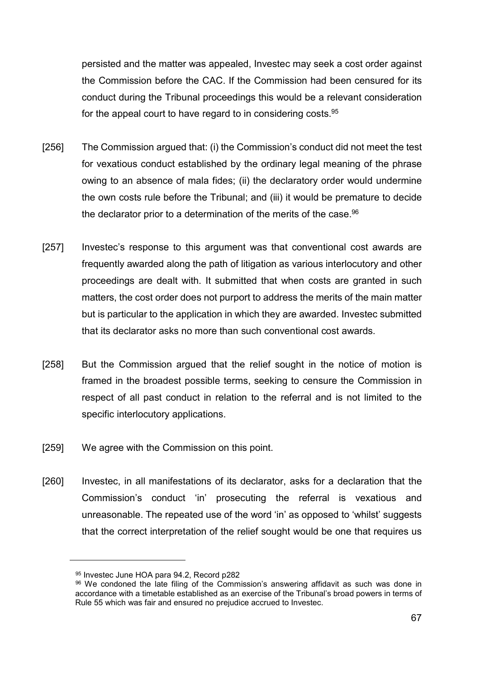persisted and the matter was appealed, Investec may seek a cost order against the Commission before the CAC. If the Commission had been censured for its conduct during the Tribunal proceedings this would be a relevant consideration for the appeal court to have regard to in considering costs.<sup>95</sup>

- [256] The Commission argued that: (i) the Commission's conduct did not meet the test for vexatious conduct established by the ordinary legal meaning of the phrase owing to an absence of mala fides; (ii) the declaratory order would undermine the own costs rule before the Tribunal; and (iii) it would be premature to decide the declarator prior to a determination of the merits of the case.<sup>96</sup>
- [257] Investec's response to this argument was that conventional cost awards are frequently awarded along the path of litigation as various interlocutory and other proceedings are dealt with. It submitted that when costs are granted in such matters, the cost order does not purport to address the merits of the main matter but is particular to the application in which they are awarded. Investec submitted that its declarator asks no more than such conventional cost awards.
- [258] But the Commission argued that the relief sought in the notice of motion is framed in the broadest possible terms, seeking to censure the Commission in respect of all past conduct in relation to the referral and is not limited to the specific interlocutory applications.
- [259] We agree with the Commission on this point.
- [260] Investec, in all manifestations of its declarator, asks for a declaration that the Commission's conduct 'in' prosecuting the referral is vexatious and unreasonable. The repeated use of the word 'in' as opposed to 'whilst' suggests that the correct interpretation of the relief sought would be one that requires us

<sup>95</sup> Investec June HOA para 94.2, Record p282

<sup>96</sup> We condoned the late filing of the Commission's answering affidavit as such was done in accordance with a timetable established as an exercise of the Tribunal's broad powers in terms of Rule 55 which was fair and ensured no prejudice accrued to Investec.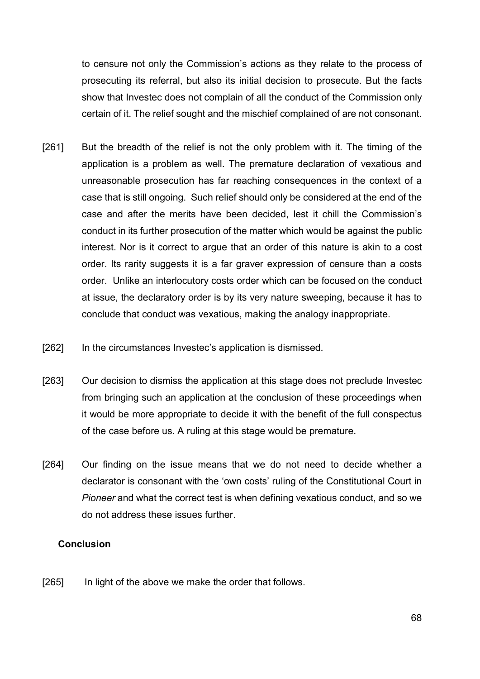to censure not only the Commission's actions as they relate to the process of prosecuting its referral, but also its initial decision to prosecute. But the facts show that Investec does not complain of all the conduct of the Commission only certain of it. The relief sought and the mischief complained of are not consonant.

- [261] But the breadth of the relief is not the only problem with it. The timing of the application is a problem as well. The premature declaration of vexatious and unreasonable prosecution has far reaching consequences in the context of a case that is still ongoing. Such relief should only be considered at the end of the case and after the merits have been decided, lest it chill the Commission's conduct in its further prosecution of the matter which would be against the public interest. Nor is it correct to argue that an order of this nature is akin to a cost order. Its rarity suggests it is a far graver expression of censure than a costs order. Unlike an interlocutory costs order which can be focused on the conduct at issue, the declaratory order is by its very nature sweeping, because it has to conclude that conduct was vexatious, making the analogy inappropriate.
- [262] In the circumstances Investec's application is dismissed.
- [263] Our decision to dismiss the application at this stage does not preclude Investec from bringing such an application at the conclusion of these proceedings when it would be more appropriate to decide it with the benefit of the full conspectus of the case before us. A ruling at this stage would be premature.
- [264] Our finding on the issue means that we do not need to decide whether a declarator is consonant with the 'own costs' ruling of the Constitutional Court in Pioneer and what the correct test is when defining vexatious conduct, and so we do not address these issues further.

### Conclusion

[265] In light of the above we make the order that follows.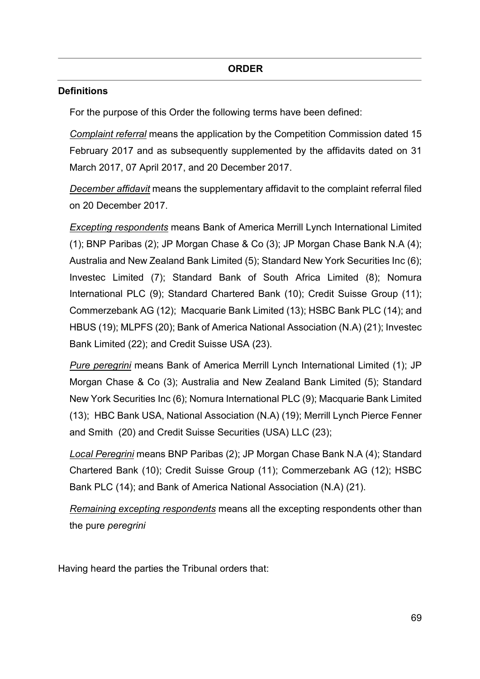## **Definitions**

For the purpose of this Order the following terms have been defined:

Complaint referral means the application by the Competition Commission dated 15 February 2017 and as subsequently supplemented by the affidavits dated on 31 March 2017, 07 April 2017, and 20 December 2017.

December affidavit means the supplementary affidavit to the complaint referral filed on 20 December 2017.

Excepting respondents means Bank of America Merrill Lynch International Limited (1); BNP Paribas (2); JP Morgan Chase & Co (3); JP Morgan Chase Bank N.A (4); Australia and New Zealand Bank Limited (5); Standard New York Securities Inc (6); Investec Limited (7); Standard Bank of South Africa Limited (8); Nomura International PLC (9); Standard Chartered Bank (10); Credit Suisse Group (11); Commerzebank AG (12); Macquarie Bank Limited (13); HSBC Bank PLC (14); and HBUS (19); MLPFS (20); Bank of America National Association (N.A) (21); Investec Bank Limited (22); and Credit Suisse USA (23).

Pure peregrini means Bank of America Merrill Lynch International Limited (1); JP Morgan Chase & Co (3); Australia and New Zealand Bank Limited (5); Standard New York Securities Inc (6); Nomura International PLC (9); Macquarie Bank Limited (13); HBC Bank USA, National Association (N.A) (19); Merrill Lynch Pierce Fenner and Smith (20) and Credit Suisse Securities (USA) LLC (23);

Local Peregrini means BNP Paribas (2); JP Morgan Chase Bank N.A (4); Standard Chartered Bank (10); Credit Suisse Group (11); Commerzebank AG (12); HSBC Bank PLC (14); and Bank of America National Association (N.A) (21).

Remaining excepting respondents means all the excepting respondents other than the pure peregrini

Having heard the parties the Tribunal orders that: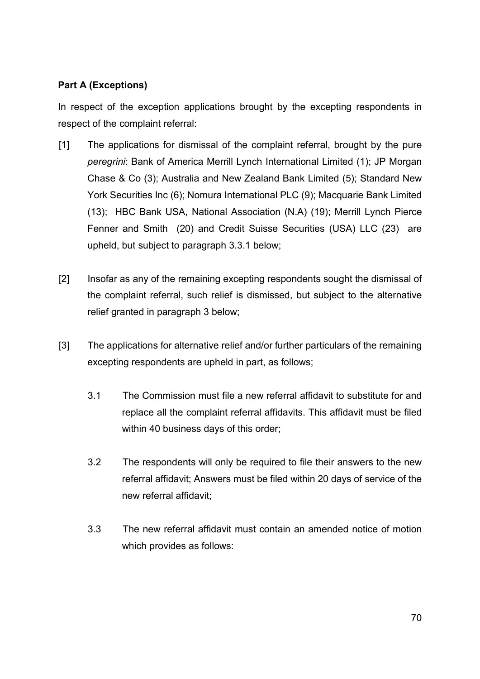# Part A (Exceptions)

In respect of the exception applications brought by the excepting respondents in respect of the complaint referral:

- [1] The applications for dismissal of the complaint referral, brought by the pure peregrini: Bank of America Merrill Lynch International Limited (1); JP Morgan Chase & Co (3); Australia and New Zealand Bank Limited (5); Standard New York Securities Inc (6); Nomura International PLC (9); Macquarie Bank Limited (13); HBC Bank USA, National Association (N.A) (19); Merrill Lynch Pierce Fenner and Smith (20) and Credit Suisse Securities (USA) LLC (23) are upheld, but subject to paragraph 3.3.1 below;
- [2] Insofar as any of the remaining excepting respondents sought the dismissal of the complaint referral, such relief is dismissed, but subject to the alternative relief granted in paragraph 3 below;
- [3] The applications for alternative relief and/or further particulars of the remaining excepting respondents are upheld in part, as follows;
	- 3.1 The Commission must file a new referral affidavit to substitute for and replace all the complaint referral affidavits. This affidavit must be filed within 40 business days of this order;
	- 3.2 The respondents will only be required to file their answers to the new referral affidavit; Answers must be filed within 20 days of service of the new referral affidavit;
	- 3.3 The new referral affidavit must contain an amended notice of motion which provides as follows: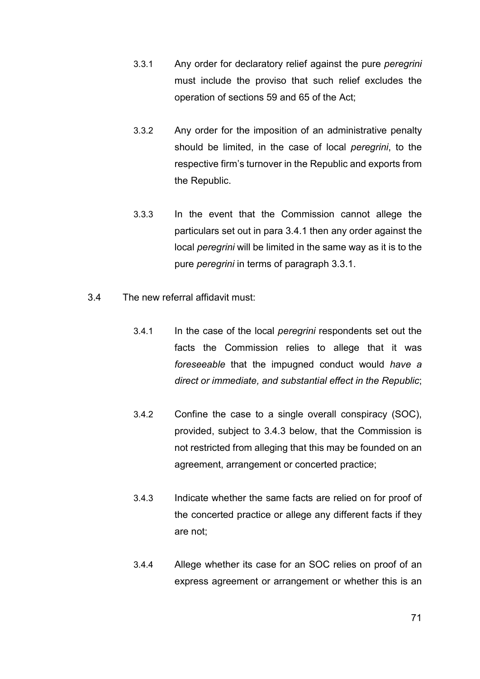- 3.3.1 Any order for declaratory relief against the pure peregrini must include the proviso that such relief excludes the operation of sections 59 and 65 of the Act;
- 3.3.2 Any order for the imposition of an administrative penalty should be limited, in the case of local *peregrini*, to the respective firm's turnover in the Republic and exports from the Republic.
- 3.3.3 In the event that the Commission cannot allege the particulars set out in para 3.4.1 then any order against the local peregrini will be limited in the same way as it is to the pure peregrini in terms of paragraph 3.3.1.
- 3.4 The new referral affidavit must:
	- 3.4.1 In the case of the local *peregrini* respondents set out the facts the Commission relies to allege that it was foreseeable that the impugned conduct would have a direct or immediate, and substantial effect in the Republic;
	- 3.4.2 Confine the case to a single overall conspiracy (SOC), provided, subject to 3.4.3 below, that the Commission is not restricted from alleging that this may be founded on an agreement, arrangement or concerted practice;
	- 3.4.3 Indicate whether the same facts are relied on for proof of the concerted practice or allege any different facts if they are not;
	- 3.4.4 Allege whether its case for an SOC relies on proof of an express agreement or arrangement or whether this is an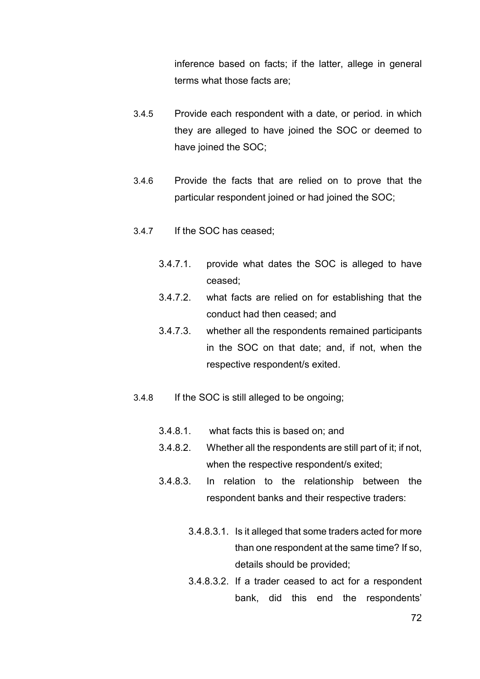inference based on facts; if the latter, allege in general terms what those facts are;

- 3.4.5 Provide each respondent with a date, or period. in which they are alleged to have joined the SOC or deemed to have joined the SOC;
- 3.4.6 Provide the facts that are relied on to prove that the particular respondent joined or had joined the SOC;
- 3.4.7 If the SOC has ceased;
	- 3.4.7.1. provide what dates the SOC is alleged to have ceased;
	- 3.4.7.2. what facts are relied on for establishing that the conduct had then ceased; and
	- 3.4.7.3. whether all the respondents remained participants in the SOC on that date; and, if not, when the respective respondent/s exited.
- 3.4.8 If the SOC is still alleged to be ongoing;
	- 3.4.8.1. what facts this is based on; and
	- 3.4.8.2. Whether all the respondents are still part of it; if not, when the respective respondent/s exited;
	- 3.4.8.3. In relation to the relationship between the respondent banks and their respective traders:
		- 3.4.8.3.1. Is it alleged that some traders acted for more than one respondent at the same time? If so, details should be provided;
		- 3.4.8.3.2. If a trader ceased to act for a respondent bank, did this end the respondents'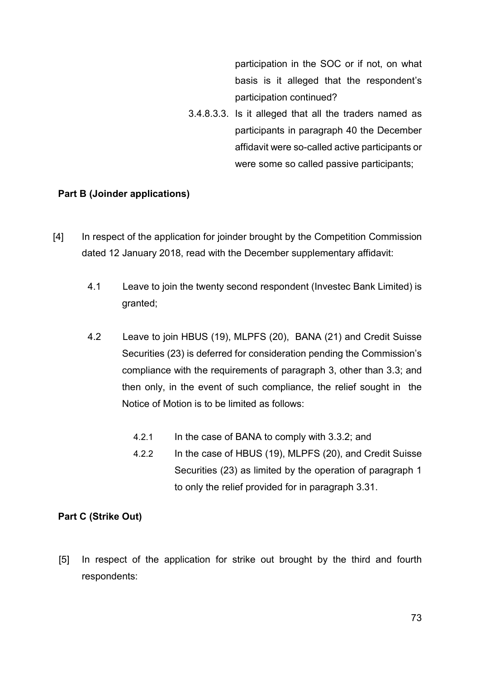participation in the SOC or if not, on what basis is it alleged that the respondent's participation continued?

3.4.8.3.3. Is it alleged that all the traders named as participants in paragraph 40 the December affidavit were so-called active participants or were some so called passive participants;

## Part B (Joinder applications)

- [4] In respect of the application for joinder brought by the Competition Commission dated 12 January 2018, read with the December supplementary affidavit:
	- 4.1 Leave to join the twenty second respondent (Investec Bank Limited) is granted;
	- 4.2 Leave to join HBUS (19), MLPFS (20), BANA (21) and Credit Suisse Securities (23) is deferred for consideration pending the Commission's compliance with the requirements of paragraph 3, other than 3.3; and then only, in the event of such compliance, the relief sought in the Notice of Motion is to be limited as follows:
		- 4.2.1 In the case of BANA to comply with 3.3.2; and
		- 4.2.2 In the case of HBUS (19), MLPFS (20), and Credit Suisse Securities (23) as limited by the operation of paragraph 1 to only the relief provided for in paragraph 3.31.

## Part C (Strike Out)

[5] In respect of the application for strike out brought by the third and fourth respondents: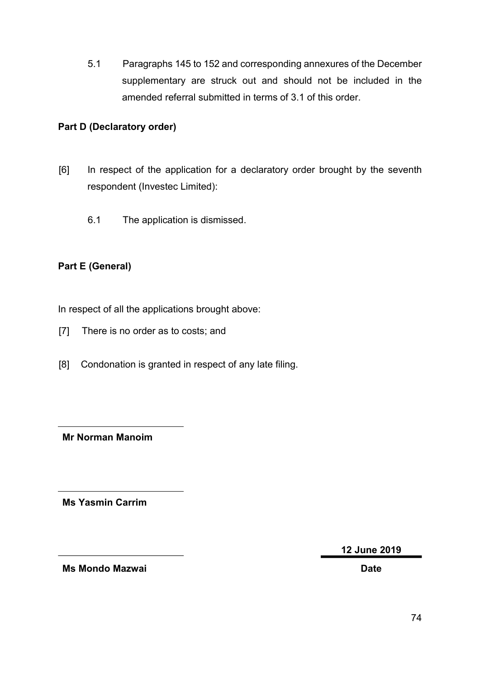5.1 Paragraphs 145 to 152 and corresponding annexures of the December supplementary are struck out and should not be included in the amended referral submitted in terms of 3.1 of this order.

## Part D (Declaratory order)

- [6] In respect of the application for a declaratory order brought by the seventh respondent (Investec Limited):
	- 6.1 The application is dismissed.

## Part E (General)

In respect of all the applications brought above:

- [7] There is no order as to costs; and
- [8] Condonation is granted in respect of any late filing.

Mr Norman Manoim

Ms Yasmin Carrim

12 June 2019

Ms Mondo Mazwai Date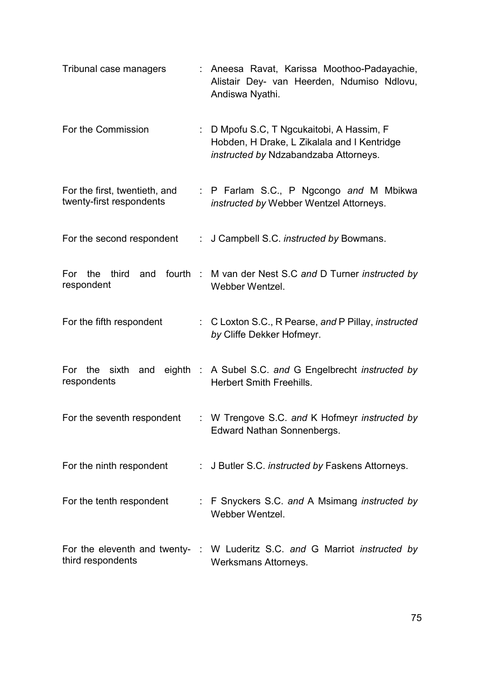| Tribunal case managers                                    | : Aneesa Ravat, Karissa Moothoo-Padayachie,<br>Alistair Dey- van Heerden, Ndumiso Ndlovu,<br>Andiswa Nyathi.                      |
|-----------------------------------------------------------|-----------------------------------------------------------------------------------------------------------------------------------|
| For the Commission                                        | : D Mpofu S.C, T Ngcukaitobi, A Hassim, F<br>Hobden, H Drake, L Zikalala and I Kentridge<br>instructed by Ndzabandzaba Attorneys. |
| For the first, twentieth, and<br>twenty-first respondents | : P Farlam S.C., P Ngcongo and M Mbikwa<br>instructed by Webber Wentzel Attorneys.                                                |
| For the second respondent                                 | : J Campbell S.C. instructed by Bowmans.                                                                                          |
| respondent                                                | For the third and fourth : M van der Nest S.C and D Turner instructed by<br>Webber Wentzel.                                       |
| For the fifth respondent                                  | : C Loxton S.C., R Pearse, and P Pillay, instructed<br>by Cliffe Dekker Hofmeyr.                                                  |
| respondents                                               | For the sixth and eighth : A Subel S.C. and G Engelbrecht instructed by<br><b>Herbert Smith Freehills.</b>                        |
| For the seventh respondent                                | : W Trengove S.C. and K Hofmeyr instructed by<br>Edward Nathan Sonnenbergs.                                                       |
| For the ninth respondent                                  | : J Butler S.C. instructed by Faskens Attorneys.                                                                                  |
| For the tenth respondent                                  | : F Snyckers S.C. and A Msimang instructed by<br>Webber Wentzel.                                                                  |
| third respondents                                         | For the eleventh and twenty- : W Luderitz S.C. and G Marriot instructed by<br>Werksmans Attorneys.                                |